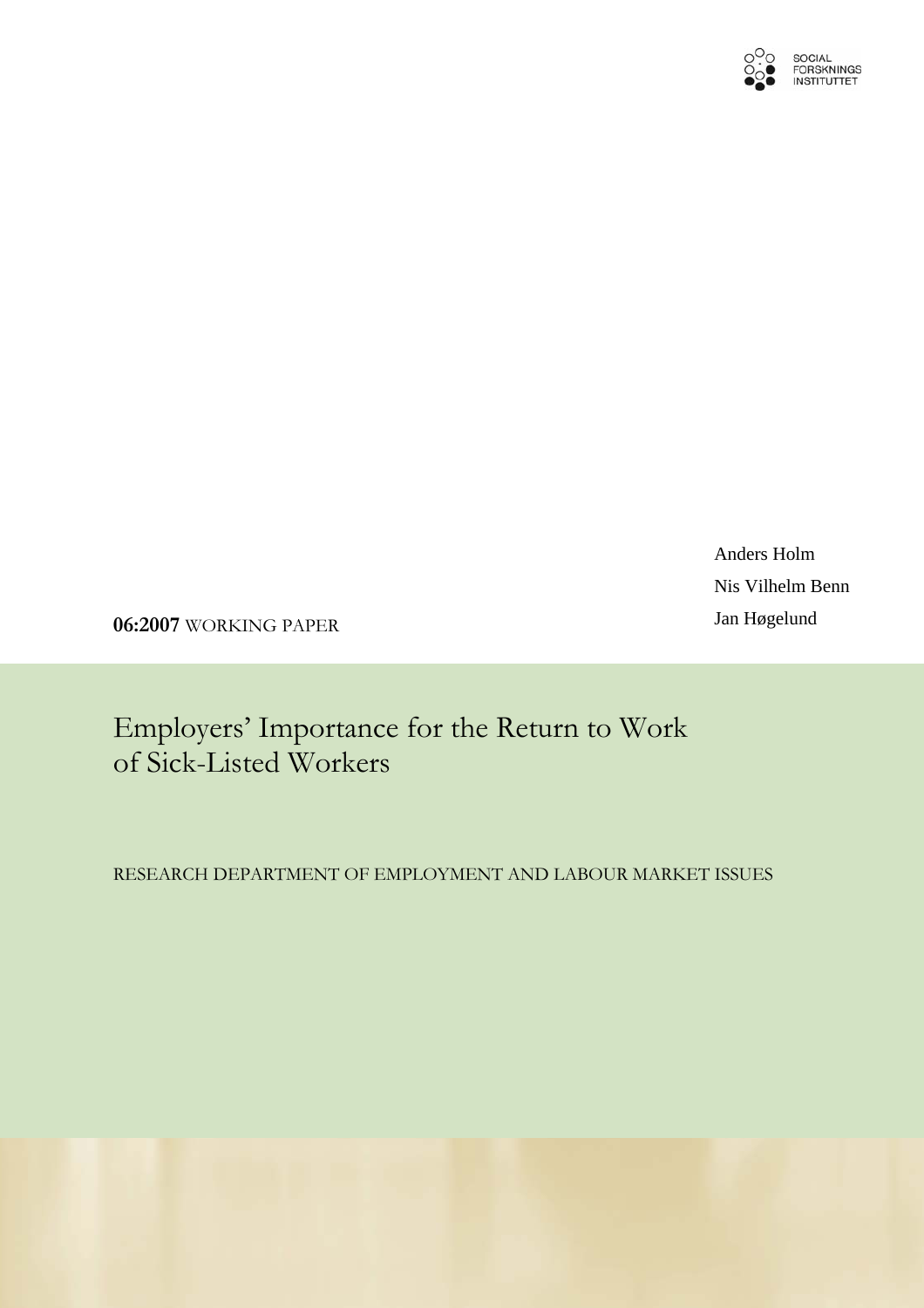

Anders Holm Nis Vilhelm Benn

Jan Høgelund **06:2007** WORKING PAPER

Employers' Importance for the Return to Work of Sick-Listed Workers

RESEARCH DEPARTMENT OF EMPLOYMENT AND LABOUR MARKET ISSUES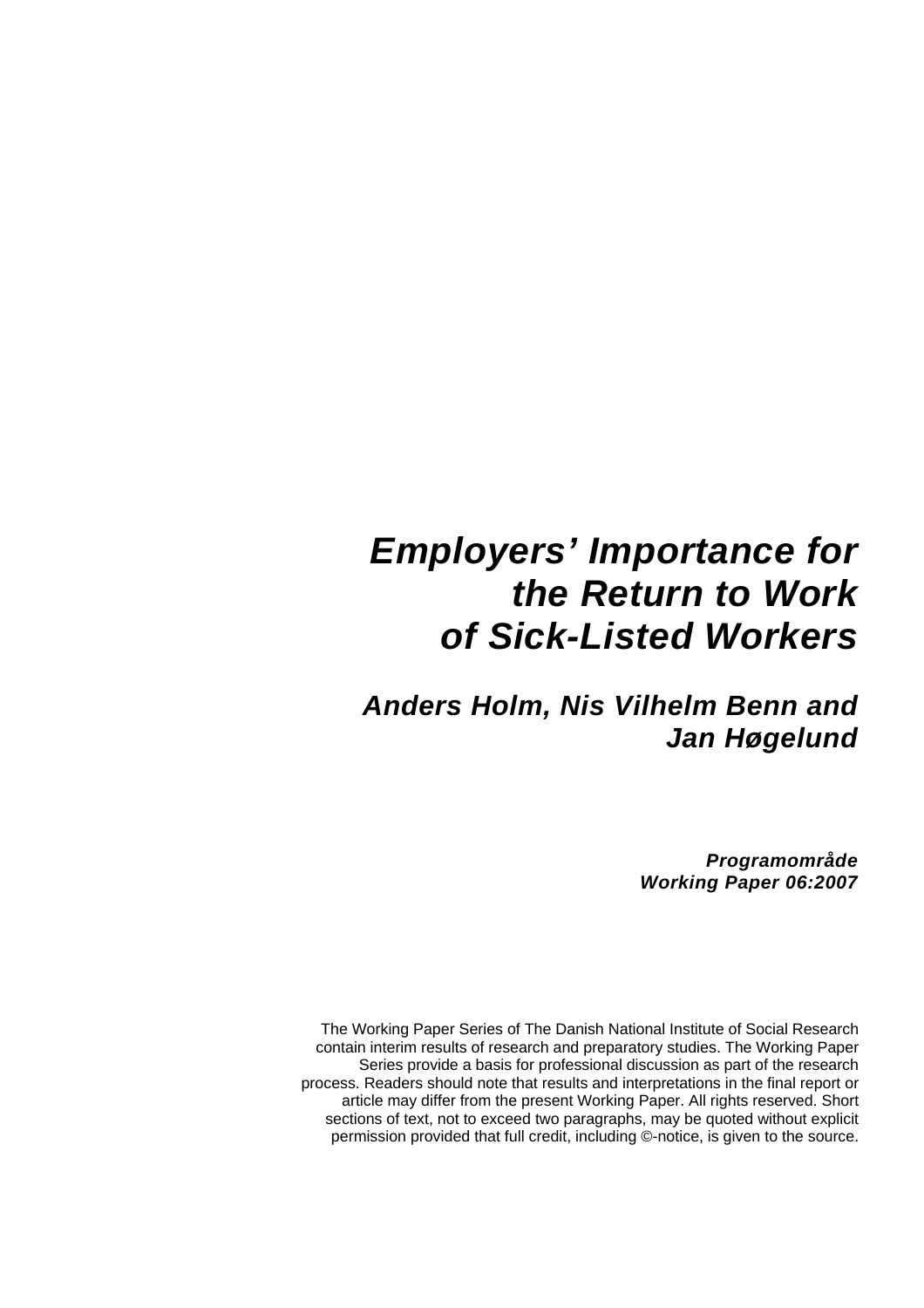# *Employers' Importance for the Return to Work of Sick-Listed Workers*

# *Anders Holm, Nis Vilhelm Benn and Jan Høgelund*

*Programområde Working Paper 06:2007* 

The Working Paper Series of The Danish National Institute of Social Research contain interim results of research and preparatory studies. The Working Paper Series provide a basis for professional discussion as part of the research process. Readers should note that results and interpretations in the final report or article may differ from the present Working Paper. All rights reserved. Short sections of text, not to exceed two paragraphs, may be quoted without explicit permission provided that full credit, including ©-notice, is given to the source.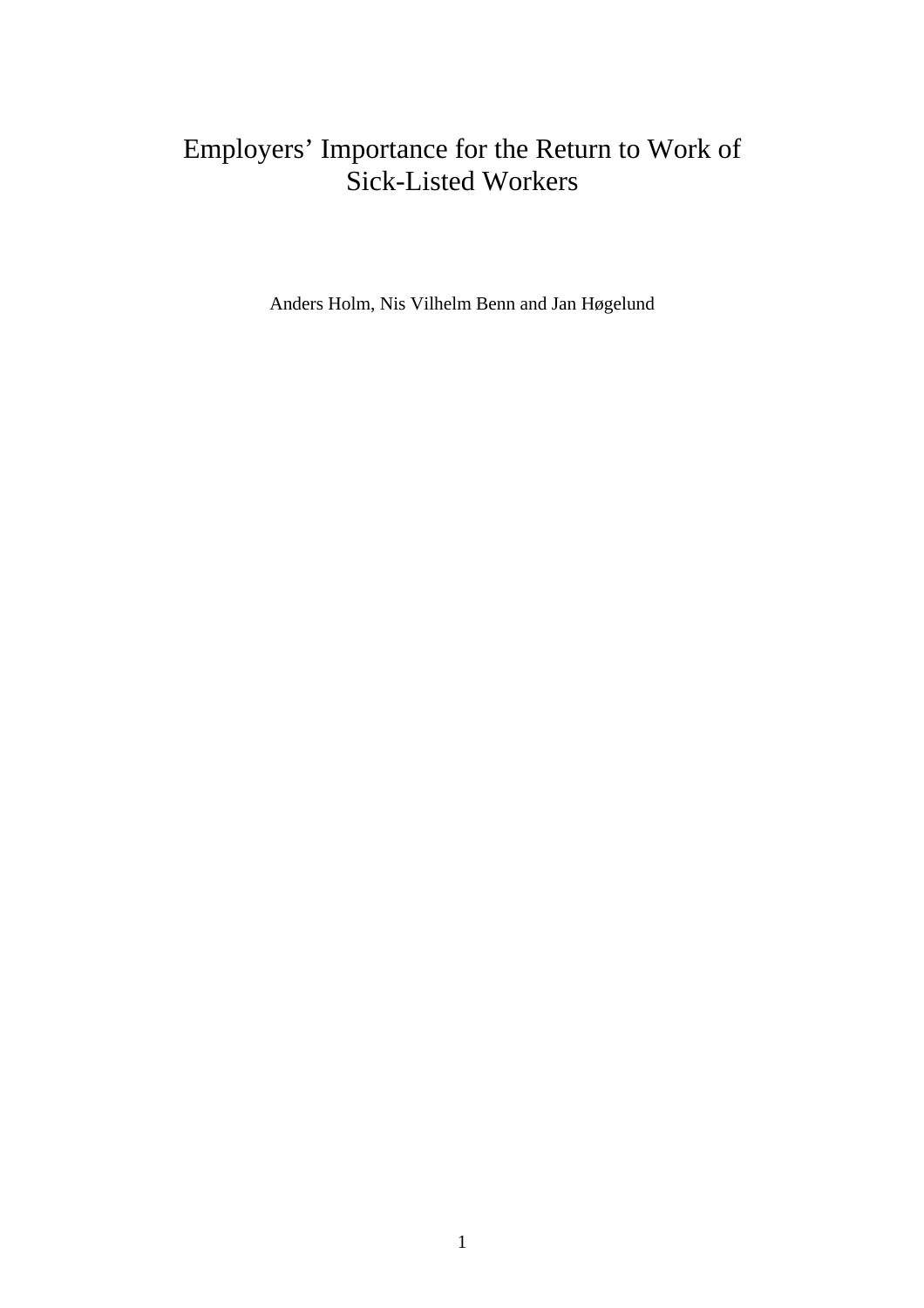# Employers' Importance for the Return to Work of Sick-Listed Workers

Anders Holm, Nis Vilhelm Benn and Jan Høgelund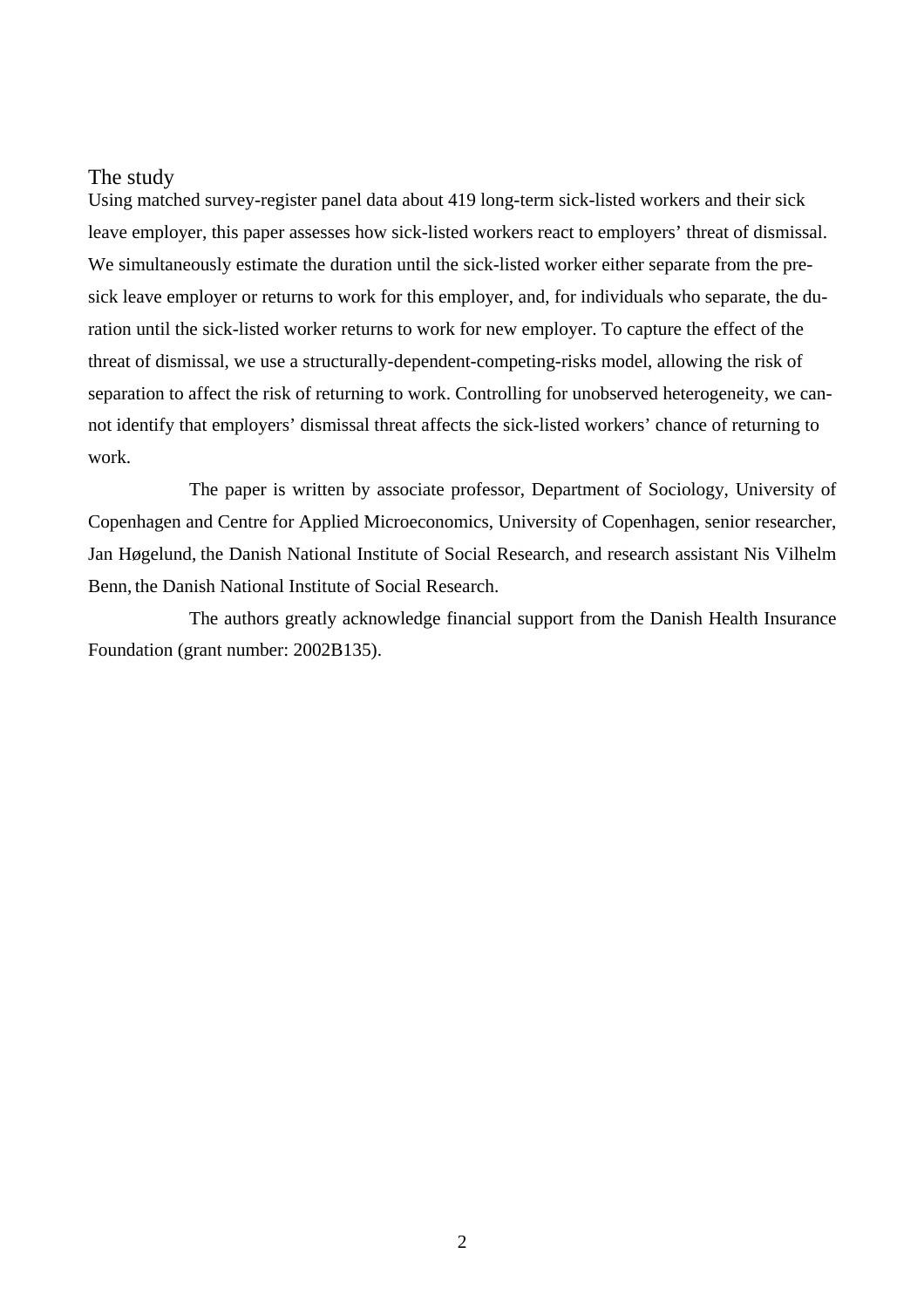#### The study

Using matched survey-register panel data about 419 long-term sick-listed workers and their sick leave employer, this paper assesses how sick-listed workers react to employers' threat of dismissal. We simultaneously estimate the duration until the sick-listed worker either separate from the presick leave employer or returns to work for this employer, and, for individuals who separate, the duration until the sick-listed worker returns to work for new employer. To capture the effect of the threat of dismissal, we use a structurally-dependent-competing-risks model, allowing the risk of separation to affect the risk of returning to work. Controlling for unobserved heterogeneity, we cannot identify that employers' dismissal threat affects the sick-listed workers' chance of returning to work.

The paper is written by associate professor, Department of Sociology, University of Copenhagen and Centre for Applied Microeconomics, University of Copenhagen, senior researcher, Jan Høgelund, the Danish National Institute of Social Research, and research assistant Nis Vilhelm Benn, the Danish National Institute of Social Research.

The authors greatly acknowledge financial support from the Danish Health Insurance Foundation (grant number: 2002B135).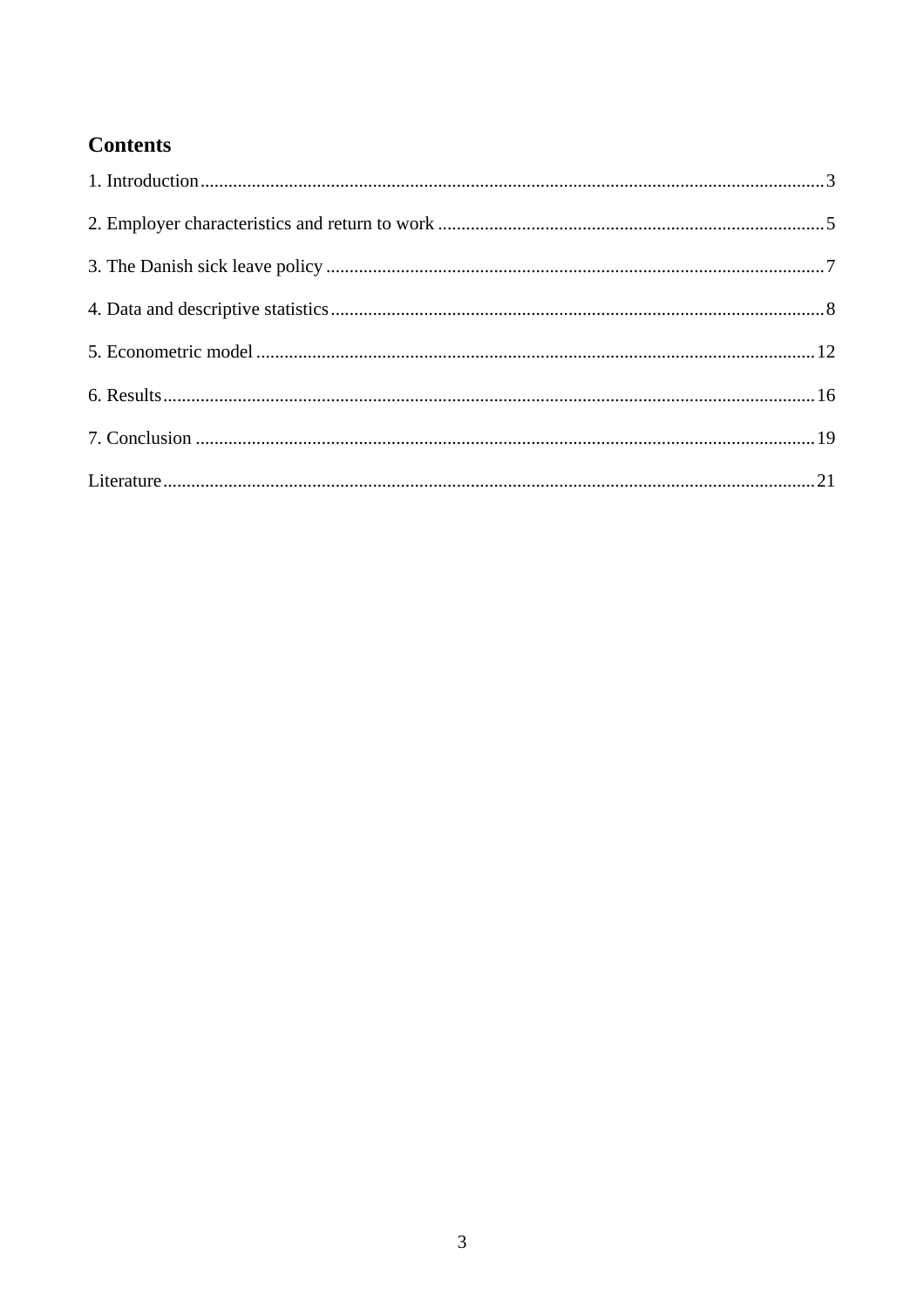# **Contents**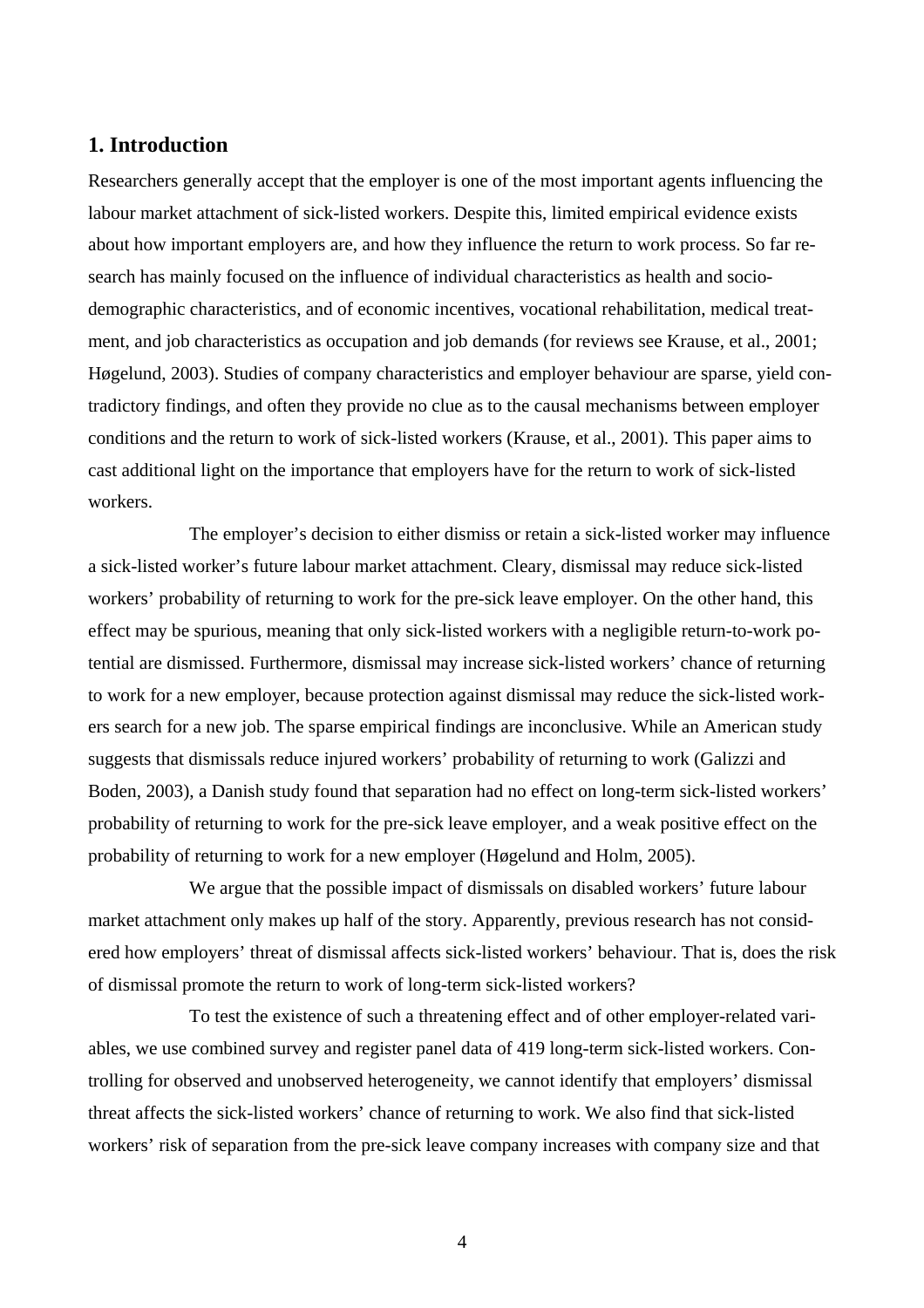# **1. Introduction**

Researchers generally accept that the employer is one of the most important agents influencing the labour market attachment of sick-listed workers. Despite this, limited empirical evidence exists about how important employers are, and how they influence the return to work process. So far research has mainly focused on the influence of individual characteristics as health and sociodemographic characteristics, and of economic incentives, vocational rehabilitation, medical treatment, and job characteristics as occupation and job demands (for reviews see Krause, et al., 2001; Høgelund, 2003). Studies of company characteristics and employer behaviour are sparse, yield contradictory findings, and often they provide no clue as to the causal mechanisms between employer conditions and the return to work of sick-listed workers (Krause, et al., 2001). This paper aims to cast additional light on the importance that employers have for the return to work of sick-listed workers.

The employer's decision to either dismiss or retain a sick-listed worker may influence a sick-listed worker's future labour market attachment. Cleary, dismissal may reduce sick-listed workers' probability of returning to work for the pre-sick leave employer. On the other hand, this effect may be spurious, meaning that only sick-listed workers with a negligible return-to-work potential are dismissed. Furthermore, dismissal may increase sick-listed workers' chance of returning to work for a new employer, because protection against dismissal may reduce the sick-listed workers search for a new job. The sparse empirical findings are inconclusive. While an American study suggests that dismissals reduce injured workers' probability of returning to work (Galizzi and Boden, 2003), a Danish study found that separation had no effect on long-term sick-listed workers' probability of returning to work for the pre-sick leave employer, and a weak positive effect on the probability of returning to work for a new employer (Høgelund and Holm, 2005).

We argue that the possible impact of dismissals on disabled workers' future labour market attachment only makes up half of the story. Apparently, previous research has not considered how employers' threat of dismissal affects sick-listed workers' behaviour. That is, does the risk of dismissal promote the return to work of long-term sick-listed workers?

To test the existence of such a threatening effect and of other employer-related variables, we use combined survey and register panel data of 419 long-term sick-listed workers. Controlling for observed and unobserved heterogeneity, we cannot identify that employers' dismissal threat affects the sick-listed workers' chance of returning to work. We also find that sick-listed workers' risk of separation from the pre-sick leave company increases with company size and that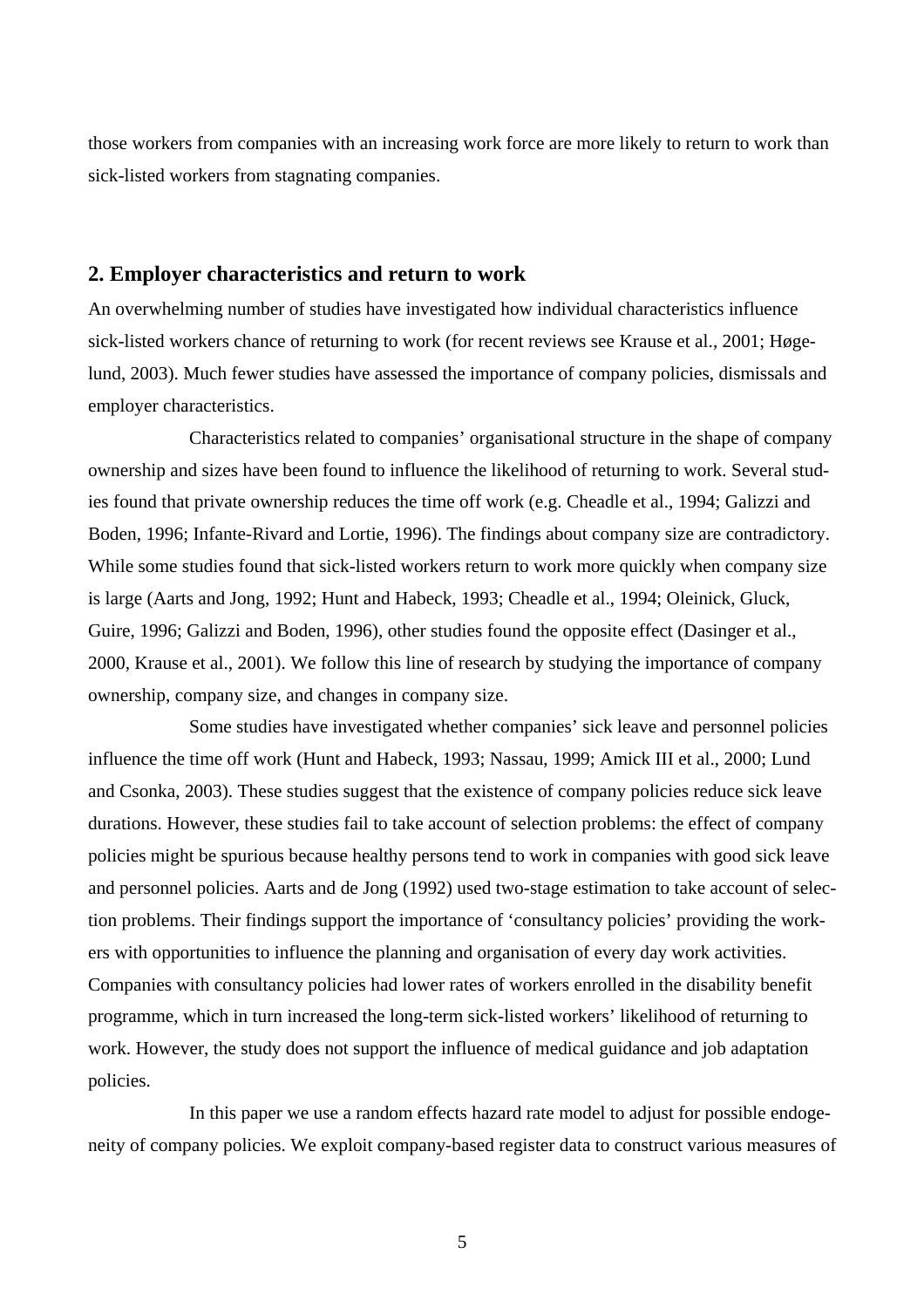those workers from companies with an increasing work force are more likely to return to work than sick-listed workers from stagnating companies.

## **2. Employer characteristics and return to work**

An overwhelming number of studies have investigated how individual characteristics influence sick-listed workers chance of returning to work (for recent reviews see Krause et al., 2001; Høgelund, 2003). Much fewer studies have assessed the importance of company policies, dismissals and employer characteristics.

Characteristics related to companies' organisational structure in the shape of company ownership and sizes have been found to influence the likelihood of returning to work. Several studies found that private ownership reduces the time off work (e.g. Cheadle et al., 1994; Galizzi and Boden, 1996; Infante-Rivard and Lortie, 1996). The findings about company size are contradictory. While some studies found that sick-listed workers return to work more quickly when company size is large (Aarts and Jong, 1992; Hunt and Habeck, 1993; Cheadle et al., 1994; Oleinick, Gluck, Guire, 1996; Galizzi and Boden, 1996), other studies found the opposite effect (Dasinger et al., 2000, Krause et al., 2001). We follow this line of research by studying the importance of company ownership, company size, and changes in company size.

Some studies have investigated whether companies' sick leave and personnel policies influence the time off work (Hunt and Habeck, 1993; Nassau, 1999; Amick III et al., 2000; Lund and Csonka, 2003). These studies suggest that the existence of company policies reduce sick leave durations. However, these studies fail to take account of selection problems: the effect of company policies might be spurious because healthy persons tend to work in companies with good sick leave and personnel policies. Aarts and de Jong (1992) used two-stage estimation to take account of selection problems. Their findings support the importance of 'consultancy policies' providing the workers with opportunities to influence the planning and organisation of every day work activities. Companies with consultancy policies had lower rates of workers enrolled in the disability benefit programme, which in turn increased the long-term sick-listed workers' likelihood of returning to work. However, the study does not support the influence of medical guidance and job adaptation policies.

In this paper we use a random effects hazard rate model to adjust for possible endogeneity of company policies. We exploit company-based register data to construct various measures of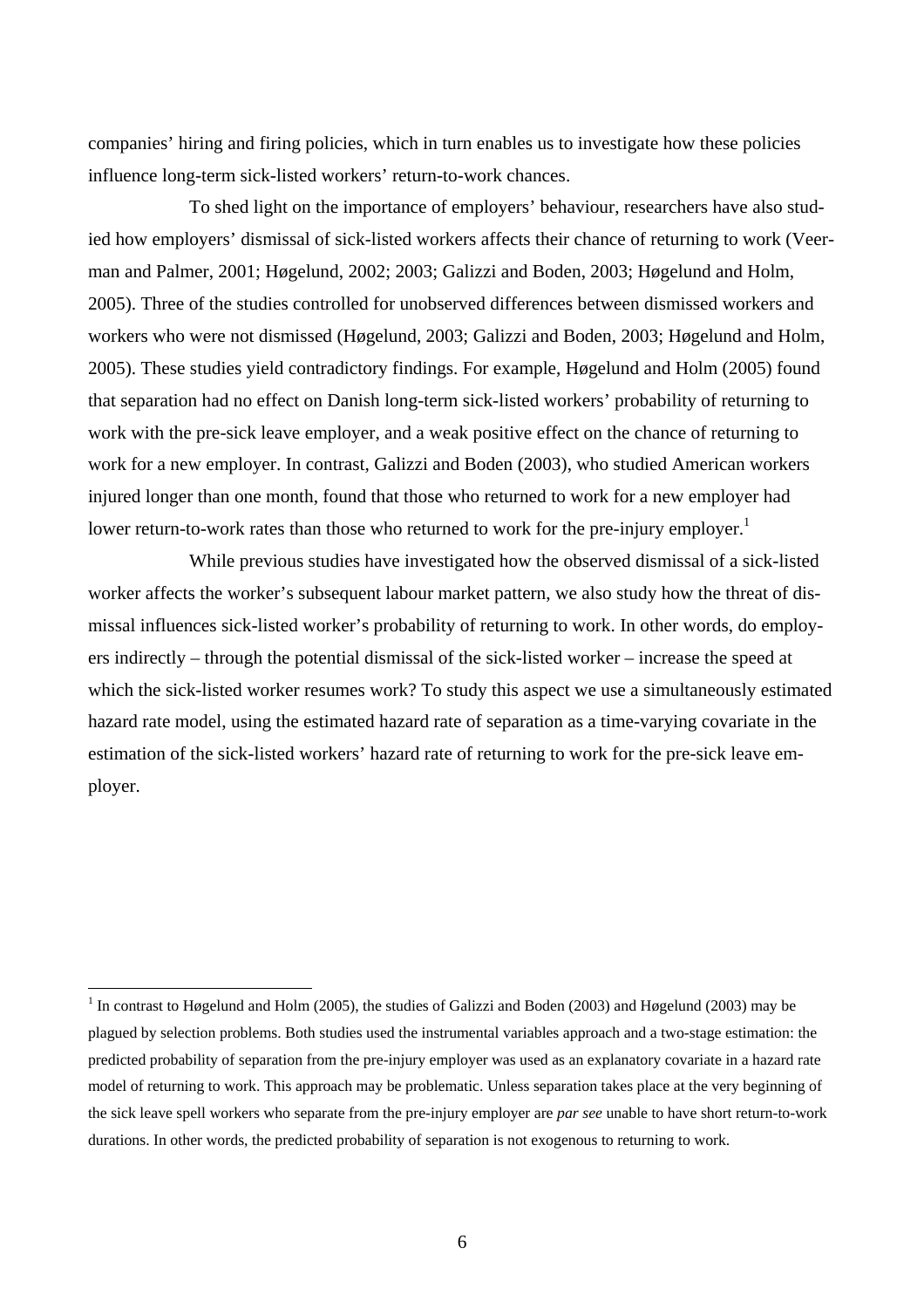companies' hiring and firing policies, which in turn enables us to investigate how these policies influence long-term sick-listed workers' return-to-work chances.

To shed light on the importance of employers' behaviour, researchers have also studied how employers' dismissal of sick-listed workers affects their chance of returning to work (Veerman and Palmer, 2001; Høgelund, 2002; 2003; Galizzi and Boden, 2003; Høgelund and Holm, 2005). Three of the studies controlled for unobserved differences between dismissed workers and workers who were not dismissed (Høgelund, 2003; Galizzi and Boden, 2003; Høgelund and Holm, 2005). These studies yield contradictory findings. For example, Høgelund and Holm (2005) found that separation had no effect on Danish long-term sick-listed workers' probability of returning to work with the pre-sick leave employer, and a weak positive effect on the chance of returning to work for a new employer. In contrast, Galizzi and Boden (2003), who studied American workers injured longer than one month, found that those who returned to work for a new employer had lower return-to-work rates than those who returned to work for the pre-injury employer.<sup>1</sup>

While previous studies have investigated how the observed dismissal of a sick-listed worker affects the worker's subsequent labour market pattern, we also study how the threat of dismissal influences sick-listed worker's probability of returning to work. In other words, do employers indirectly – through the potential dismissal of the sick-listed worker – increase the speed at which the sick-listed worker resumes work? To study this aspect we use a simultaneously estimated hazard rate model, using the estimated hazard rate of separation as a time-varying covariate in the estimation of the sick-listed workers' hazard rate of returning to work for the pre-sick leave employer.

 $\overline{a}$ 

<sup>&</sup>lt;sup>1</sup> In contrast to Høgelund and Holm (2005), the studies of Galizzi and Boden (2003) and Høgelund (2003) may be plagued by selection problems. Both studies used the instrumental variables approach and a two-stage estimation: the predicted probability of separation from the pre-injury employer was used as an explanatory covariate in a hazard rate model of returning to work. This approach may be problematic. Unless separation takes place at the very beginning of the sick leave spell workers who separate from the pre-injury employer are *par see* unable to have short return-to-work durations. In other words, the predicted probability of separation is not exogenous to returning to work.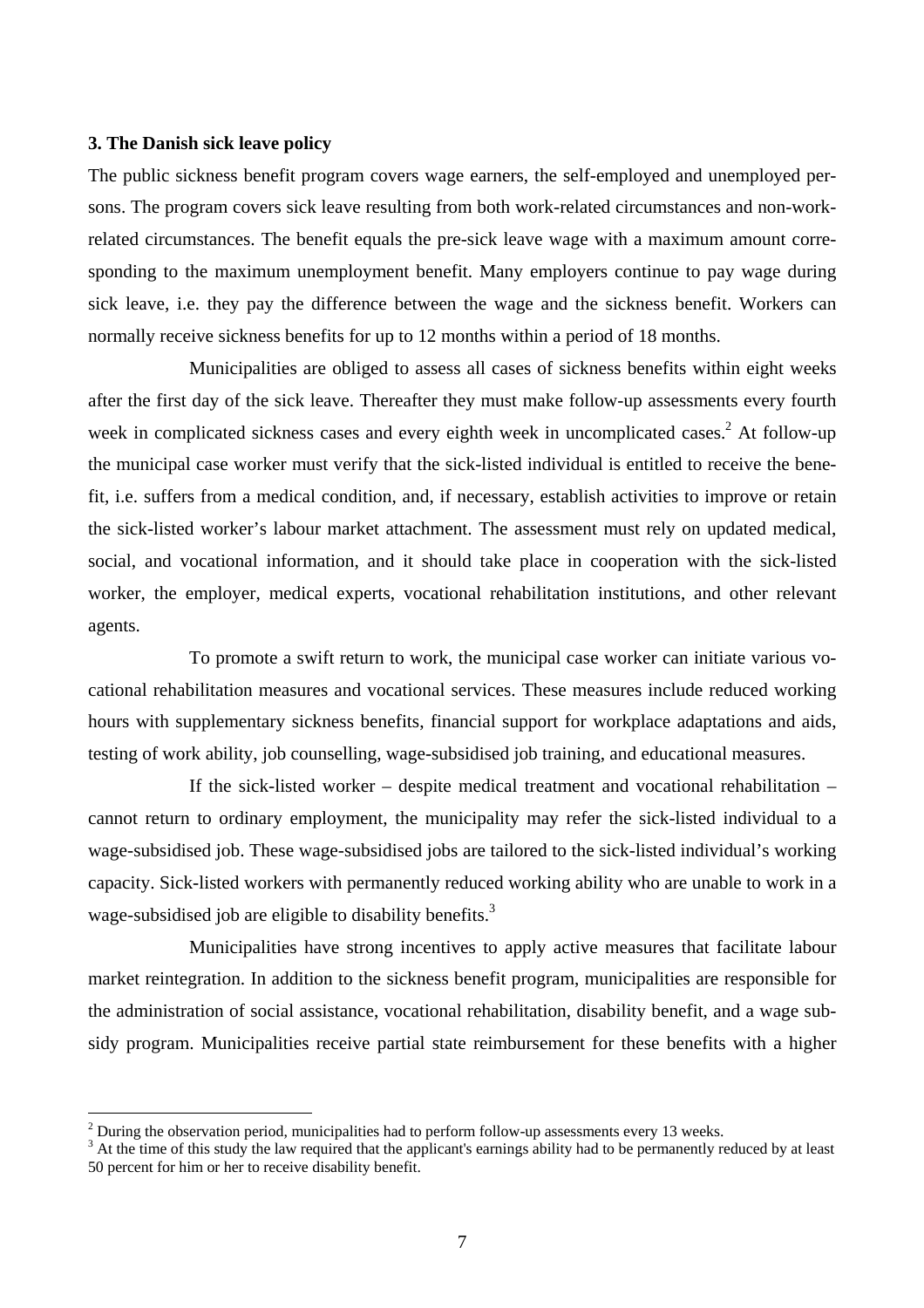#### **3. The Danish sick leave policy**

 $\overline{a}$ 

The public sickness benefit program covers wage earners, the self-employed and unemployed persons. The program covers sick leave resulting from both work-related circumstances and non-workrelated circumstances. The benefit equals the pre-sick leave wage with a maximum amount corresponding to the maximum unemployment benefit. Many employers continue to pay wage during sick leave, i.e. they pay the difference between the wage and the sickness benefit. Workers can normally receive sickness benefits for up to 12 months within a period of 18 months.

Municipalities are obliged to assess all cases of sickness benefits within eight weeks after the first day of the sick leave. Thereafter they must make follow-up assessments every fourth week in complicated sickness cases and every eighth week in uncomplicated cases.<sup>2</sup> At follow-up the municipal case worker must verify that the sick-listed individual is entitled to receive the benefit, i.e. suffers from a medical condition, and, if necessary, establish activities to improve or retain the sick-listed worker's labour market attachment. The assessment must rely on updated medical, social, and vocational information, and it should take place in cooperation with the sick-listed worker, the employer, medical experts, vocational rehabilitation institutions, and other relevant agents.

To promote a swift return to work, the municipal case worker can initiate various vocational rehabilitation measures and vocational services. These measures include reduced working hours with supplementary sickness benefits, financial support for workplace adaptations and aids, testing of work ability, job counselling, wage-subsidised job training, and educational measures.

If the sick-listed worker – despite medical treatment and vocational rehabilitation – cannot return to ordinary employment, the municipality may refer the sick-listed individual to a wage-subsidised job. These wage-subsidised jobs are tailored to the sick-listed individual's working capacity. Sick-listed workers with permanently reduced working ability who are unable to work in a wage-subsidised job are eligible to disability benefits.<sup>3</sup>

Municipalities have strong incentives to apply active measures that facilitate labour market reintegration. In addition to the sickness benefit program, municipalities are responsible for the administration of social assistance, vocational rehabilitation, disability benefit, and a wage subsidy program. Municipalities receive partial state reimbursement for these benefits with a higher

<sup>&</sup>lt;sup>2</sup> During the observation period, municipalities had to perform follow-up assessments every 13 weeks.

<sup>&</sup>lt;sup>3</sup> At the time of this study the law required that the applicant's earnings ability had to be permanently reduced by at least 50 percent for him or her to receive disability benefit.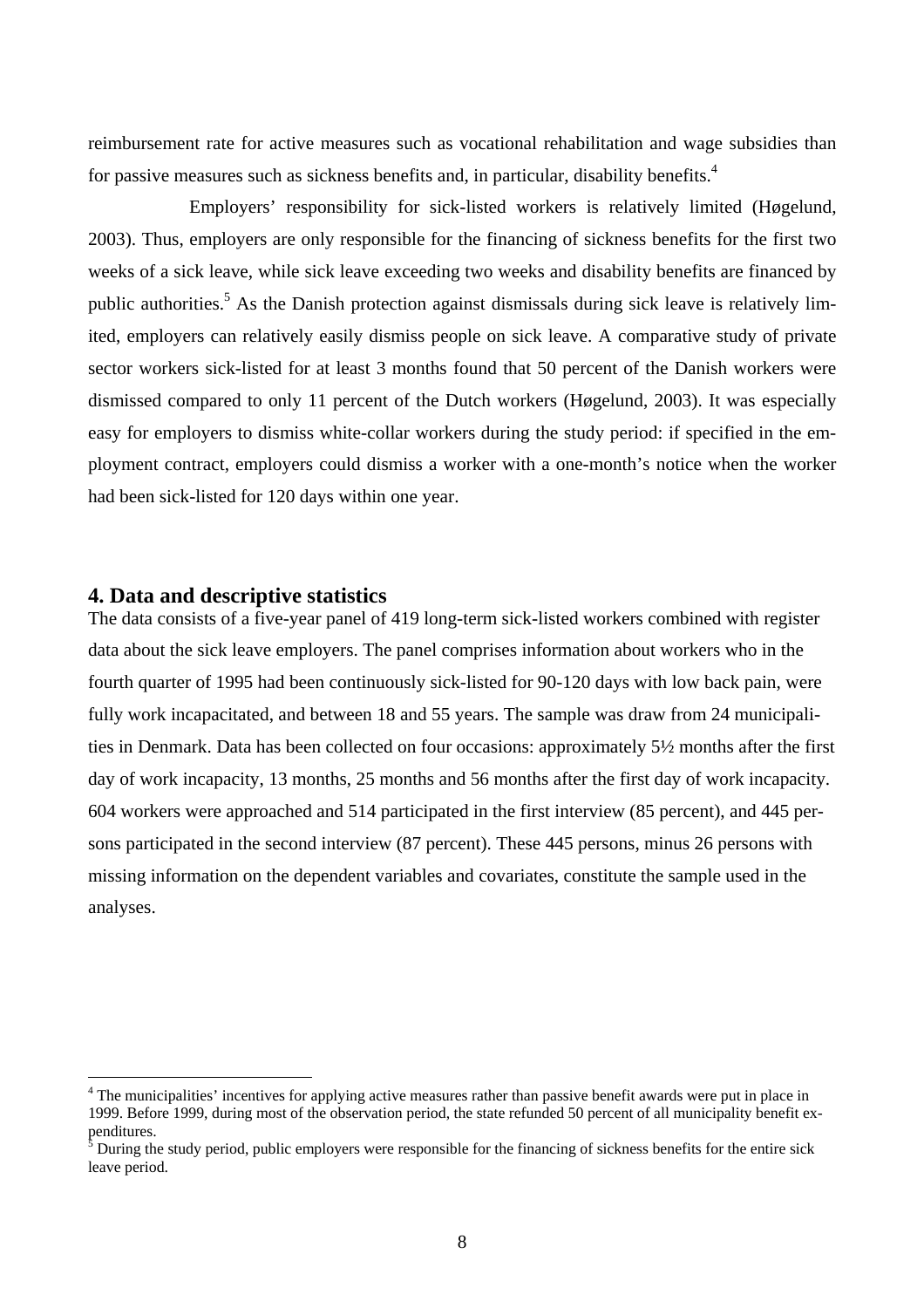reimbursement rate for active measures such as vocational rehabilitation and wage subsidies than for passive measures such as sickness benefits and, in particular, disability benefits.<sup>4</sup>

Employers' responsibility for sick-listed workers is relatively limited (Høgelund, 2003). Thus, employers are only responsible for the financing of sickness benefits for the first two weeks of a sick leave, while sick leave exceeding two weeks and disability benefits are financed by public authorities.<sup>5</sup> As the Danish protection against dismissals during sick leave is relatively limited, employers can relatively easily dismiss people on sick leave. A comparative study of private sector workers sick-listed for at least 3 months found that 50 percent of the Danish workers were dismissed compared to only 11 percent of the Dutch workers (Høgelund, 2003). It was especially easy for employers to dismiss white-collar workers during the study period: if specified in the employment contract, employers could dismiss a worker with a one-month's notice when the worker had been sick-listed for 120 days within one year.

#### **4. Data and descriptive statistics**

 $\overline{a}$ 

The data consists of a five-year panel of 419 long-term sick-listed workers combined with register data about the sick leave employers. The panel comprises information about workers who in the fourth quarter of 1995 had been continuously sick-listed for 90-120 days with low back pain, were fully work incapacitated, and between 18 and 55 years. The sample was draw from 24 municipalities in Denmark. Data has been collected on four occasions: approximately 5½ months after the first day of work incapacity, 13 months, 25 months and 56 months after the first day of work incapacity. 604 workers were approached and 514 participated in the first interview (85 percent), and 445 persons participated in the second interview (87 percent). These 445 persons, minus 26 persons with missing information on the dependent variables and covariates, constitute the sample used in the analyses.

<sup>&</sup>lt;sup>4</sup> The municipalities' incentives for applying active measures rather than passive benefit awards were put in place in 1999. Before 1999, during most of the observation period, the state refunded 50 percent of all municipality benefit expenditures.

During the study period, public employers were responsible for the financing of sickness benefits for the entire sick leave period.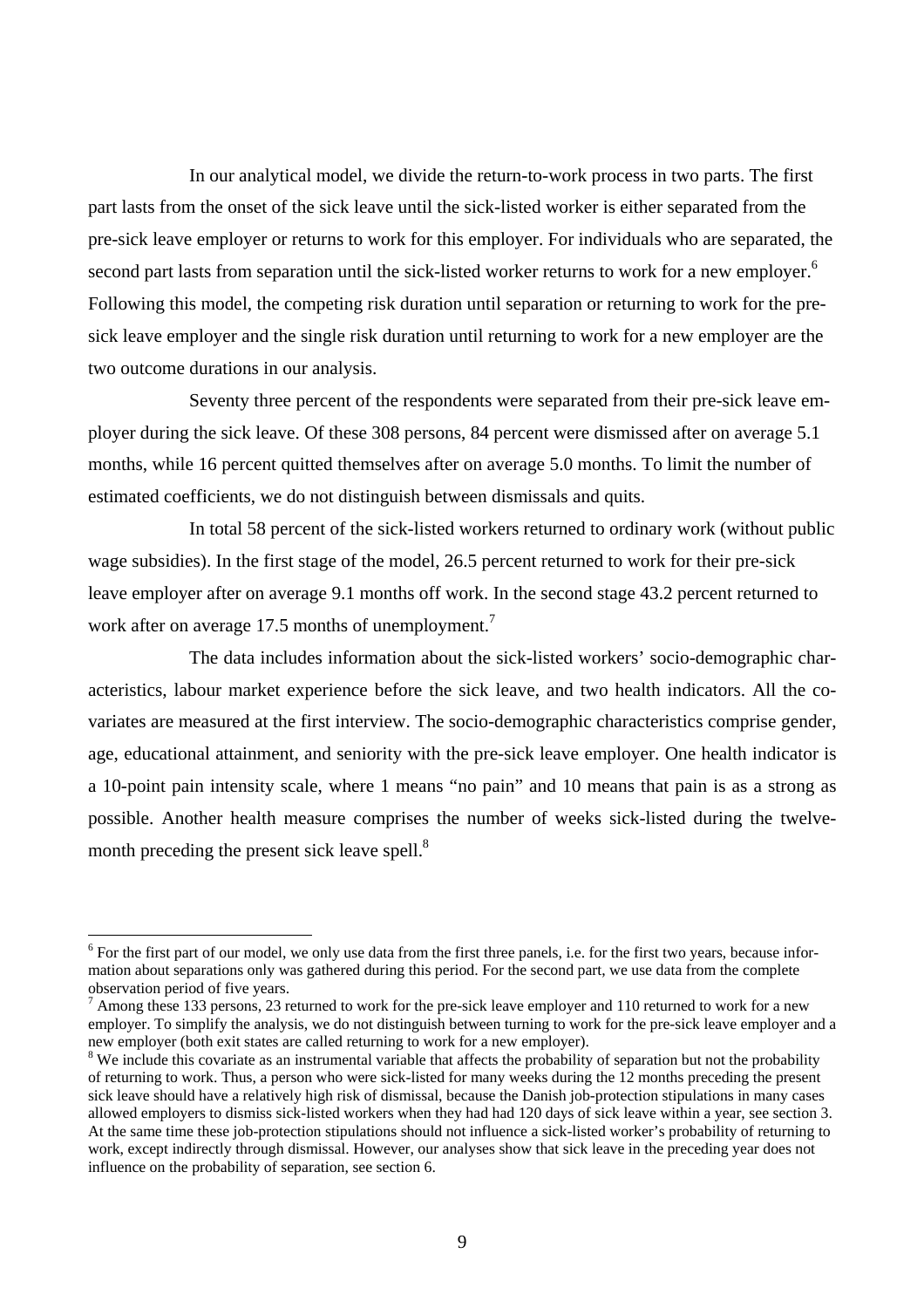In our analytical model, we divide the return-to-work process in two parts. The first part lasts from the onset of the sick leave until the sick-listed worker is either separated from the pre-sick leave employer or returns to work for this employer. For individuals who are separated, the second part lasts from separation until the sick-listed worker returns to work for a new employer.<sup>6</sup> Following this model, the competing risk duration until separation or returning to work for the presick leave employer and the single risk duration until returning to work for a new employer are the two outcome durations in our analysis.

Seventy three percent of the respondents were separated from their pre-sick leave employer during the sick leave. Of these 308 persons, 84 percent were dismissed after on average 5.1 months, while 16 percent quitted themselves after on average 5.0 months. To limit the number of estimated coefficients, we do not distinguish between dismissals and quits.

In total 58 percent of the sick-listed workers returned to ordinary work (without public wage subsidies). In the first stage of the model, 26.5 percent returned to work for their pre-sick leave employer after on average 9.1 months off work. In the second stage 43.2 percent returned to work after on average 17.5 months of unemployment.<sup>7</sup>

The data includes information about the sick-listed workers' socio-demographic characteristics, labour market experience before the sick leave, and two health indicators. All the covariates are measured at the first interview. The socio-demographic characteristics comprise gender, age, educational attainment, and seniority with the pre-sick leave employer. One health indicator is a 10-point pain intensity scale, where 1 means "no pain" and 10 means that pain is as a strong as possible. Another health measure comprises the number of weeks sick-listed during the twelvemonth preceding the present sick leave spell.<sup>8</sup>

 $\overline{a}$ 

 $6$  For the first part of our model, we only use data from the first three panels, i.e. for the first two years, because information about separations only was gathered during this period. For the second part, we use data from the complete

<sup>&</sup>lt;sup>7</sup> Among these 133 persons, 23 returned to work for the pre-sick leave employer and 110 returned to work for a new employer. To simplify the analysis, we do not distinguish between turning to work for the pre-sick leave employer and a new employer (both exit states are called returning to work for a new employer).<br><sup>8</sup> We include this covariate as an instrumental variable that affects the probability of separation but not the probability

of returning to work. Thus, a person who were sick-listed for many weeks during the 12 months preceding the present sick leave should have a relatively high risk of dismissal, because the Danish job-protection stipulations in many cases allowed employers to dismiss sick-listed workers when they had had 120 days of sick leave within a year, see section 3. At the same time these job-protection stipulations should not influence a sick-listed worker's probability of returning to work, except indirectly through dismissal. However, our analyses show that sick leave in the preceding year does not influence on the probability of separation, see section 6.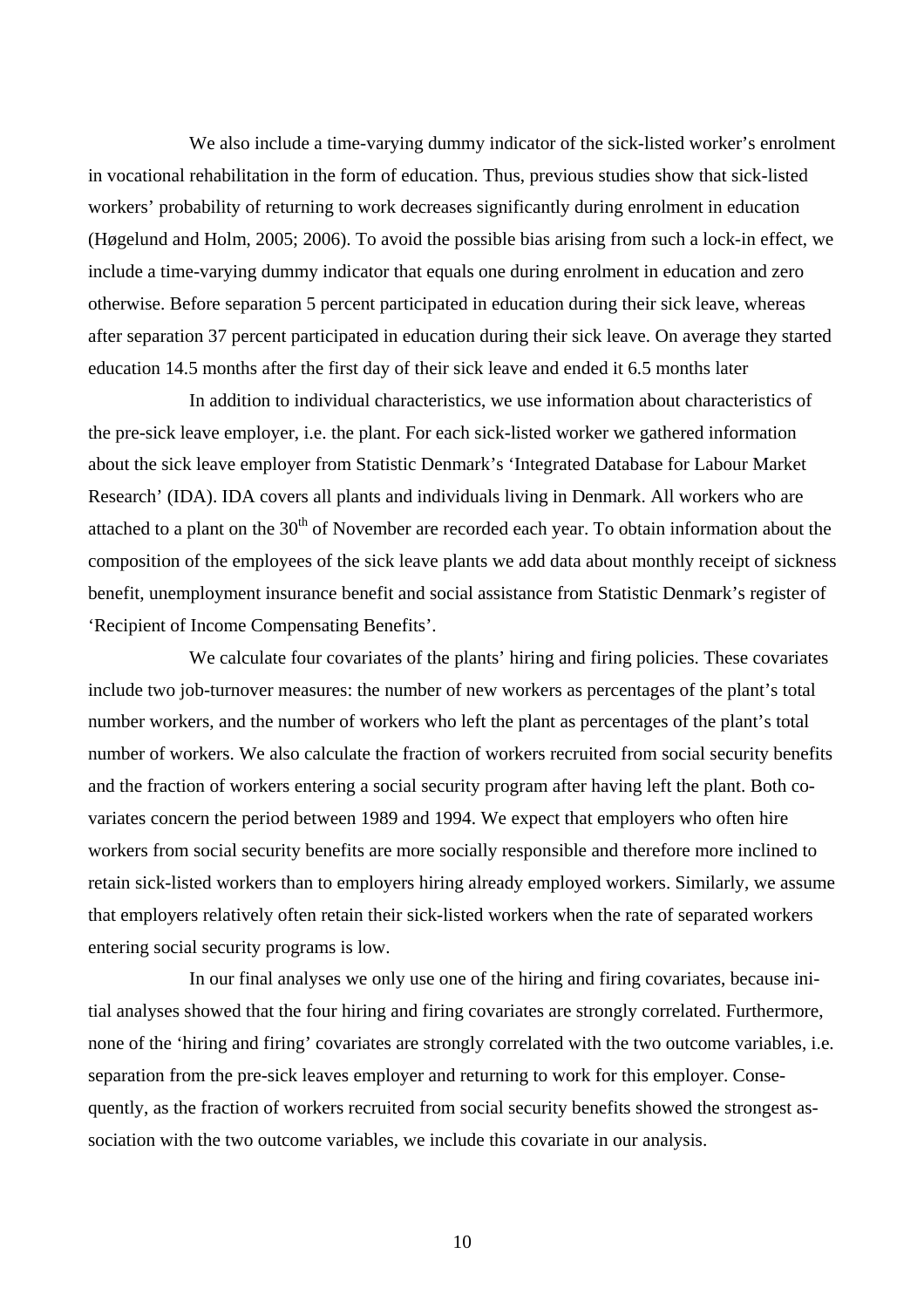We also include a time-varying dummy indicator of the sick-listed worker's enrolment in vocational rehabilitation in the form of education. Thus, previous studies show that sick-listed workers' probability of returning to work decreases significantly during enrolment in education (Høgelund and Holm, 2005; 2006). To avoid the possible bias arising from such a lock-in effect, we include a time-varying dummy indicator that equals one during enrolment in education and zero otherwise. Before separation 5 percent participated in education during their sick leave, whereas after separation 37 percent participated in education during their sick leave. On average they started education 14.5 months after the first day of their sick leave and ended it 6.5 months later

In addition to individual characteristics, we use information about characteristics of the pre-sick leave employer, i.e. the plant. For each sick-listed worker we gathered information about the sick leave employer from Statistic Denmark's 'Integrated Database for Labour Market Research' (IDA). IDA covers all plants and individuals living in Denmark. All workers who are attached to a plant on the  $30<sup>th</sup>$  of November are recorded each year. To obtain information about the composition of the employees of the sick leave plants we add data about monthly receipt of sickness benefit, unemployment insurance benefit and social assistance from Statistic Denmark's register of 'Recipient of Income Compensating Benefits'.

We calculate four covariates of the plants' hiring and firing policies. These covariates include two job-turnover measures: the number of new workers as percentages of the plant's total number workers, and the number of workers who left the plant as percentages of the plant's total number of workers. We also calculate the fraction of workers recruited from social security benefits and the fraction of workers entering a social security program after having left the plant. Both covariates concern the period between 1989 and 1994. We expect that employers who often hire workers from social security benefits are more socially responsible and therefore more inclined to retain sick-listed workers than to employers hiring already employed workers. Similarly, we assume that employers relatively often retain their sick-listed workers when the rate of separated workers entering social security programs is low.

In our final analyses we only use one of the hiring and firing covariates, because initial analyses showed that the four hiring and firing covariates are strongly correlated. Furthermore, none of the 'hiring and firing' covariates are strongly correlated with the two outcome variables, i.e. separation from the pre-sick leaves employer and returning to work for this employer. Consequently, as the fraction of workers recruited from social security benefits showed the strongest association with the two outcome variables, we include this covariate in our analysis.

10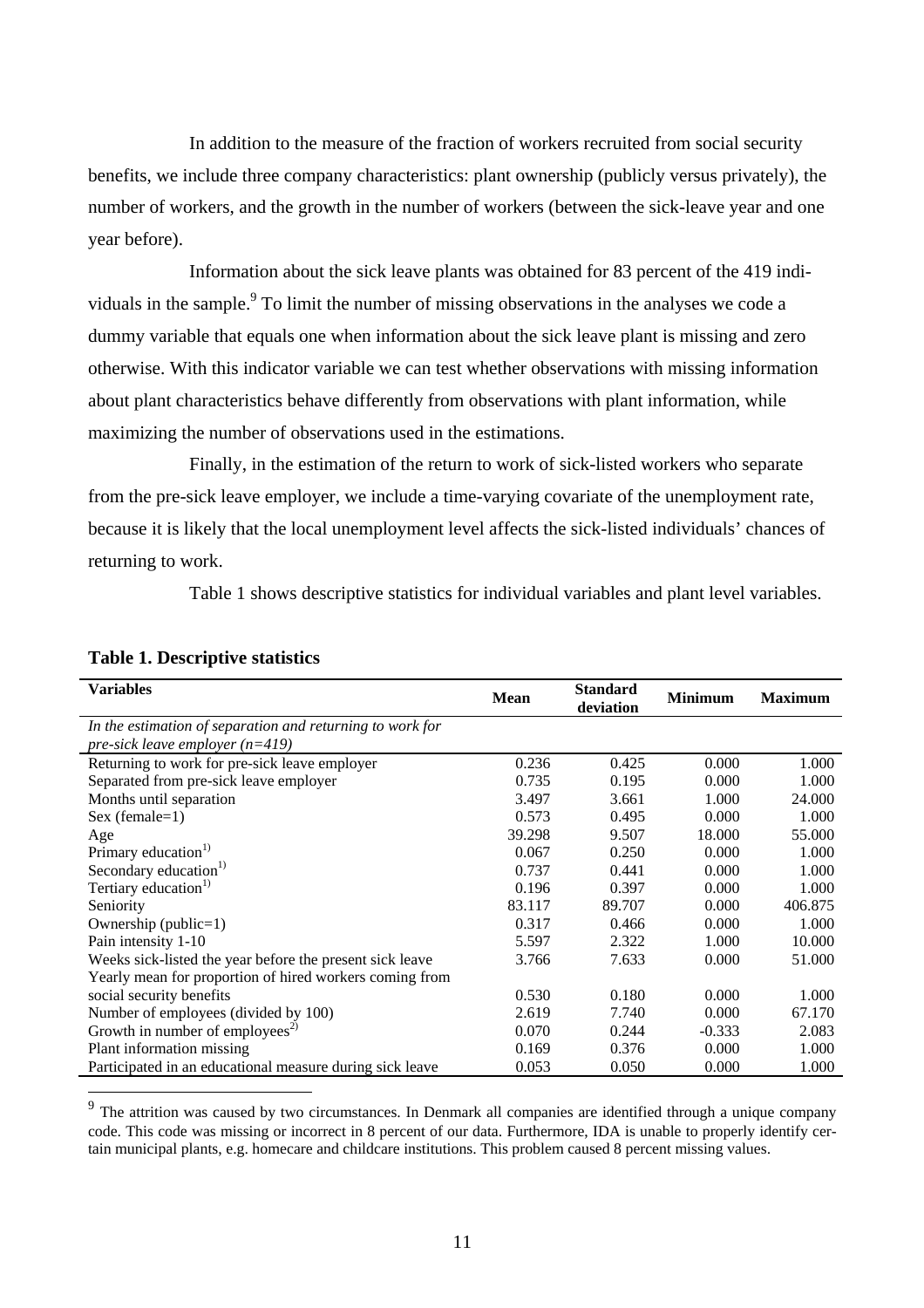In addition to the measure of the fraction of workers recruited from social security benefits, we include three company characteristics: plant ownership (publicly versus privately), the number of workers, and the growth in the number of workers (between the sick-leave year and one year before).

Information about the sick leave plants was obtained for 83 percent of the 419 individuals in the sample. $9$  To limit the number of missing observations in the analyses we code a dummy variable that equals one when information about the sick leave plant is missing and zero otherwise. With this indicator variable we can test whether observations with missing information about plant characteristics behave differently from observations with plant information, while maximizing the number of observations used in the estimations.

Finally, in the estimation of the return to work of sick-listed workers who separate from the pre-sick leave employer, we include a time-varying covariate of the unemployment rate, because it is likely that the local unemployment level affects the sick-listed individuals' chances of returning to work.

Table 1 shows descriptive statistics for individual variables and plant level variables.

| <b>Variables</b>                                          | <b>Mean</b> | <b>Standard</b><br>deviation | <b>Minimum</b> | <b>Maximum</b> |
|-----------------------------------------------------------|-------------|------------------------------|----------------|----------------|
| In the estimation of separation and returning to work for |             |                              |                |                |
| pre-sick leave employer $(n=419)$                         |             |                              |                |                |
| Returning to work for pre-sick leave employer             | 0.236       | 0.425                        | 0.000          | 1.000          |
| Separated from pre-sick leave employer                    | 0.735       | 0.195                        | 0.000          | 1.000          |
| Months until separation                                   | 3.497       | 3.661                        | 1.000          | 24.000         |
| Sex (female=1)                                            | 0.573       | 0.495                        | 0.000          | 1.000          |
| Age                                                       | 39.298      | 9.507                        | 18.000         | 55.000         |
| Primary education <sup>1)</sup>                           | 0.067       | 0.250                        | 0.000          | 1.000          |
| Secondary education <sup>1)</sup>                         | 0.737       | 0.441                        | 0.000          | 1.000          |
| Tertiary education <sup>1)</sup>                          | 0.196       | 0.397                        | 0.000          | 1.000          |
| Seniority                                                 | 83.117      | 89.707                       | 0.000          | 406.875        |
| Ownership (public=1)                                      | 0.317       | 0.466                        | 0.000          | 1.000          |
| Pain intensity 1-10                                       | 5.597       | 2.322                        | 1.000          | 10.000         |
| Weeks sick-listed the year before the present sick leave  | 3.766       | 7.633                        | 0.000          | 51.000         |
| Yearly mean for proportion of hired workers coming from   |             |                              |                |                |
| social security benefits                                  | 0.530       | 0.180                        | 0.000          | 1.000          |
| Number of employees (divided by 100)                      | 2.619       | 7.740                        | 0.000          | 67.170         |
| Growth in number of employees <sup>2)</sup>               | 0.070       | 0.244                        | $-0.333$       | 2.083          |
| Plant information missing                                 | 0.169       | 0.376                        | 0.000          | 1.000          |
| Participated in an educational measure during sick leave  | 0.053       | 0.050                        | 0.000          | 1.000          |

## **Table 1. Descriptive statistics**

 $\overline{a}$ 

The attrition was caused by two circumstances. In Denmark all companies are identified through a unique company code. This code was missing or incorrect in 8 percent of our data. Furthermore, IDA is unable to properly identify certain municipal plants, e.g. homecare and childcare institutions. This problem caused 8 percent missing values.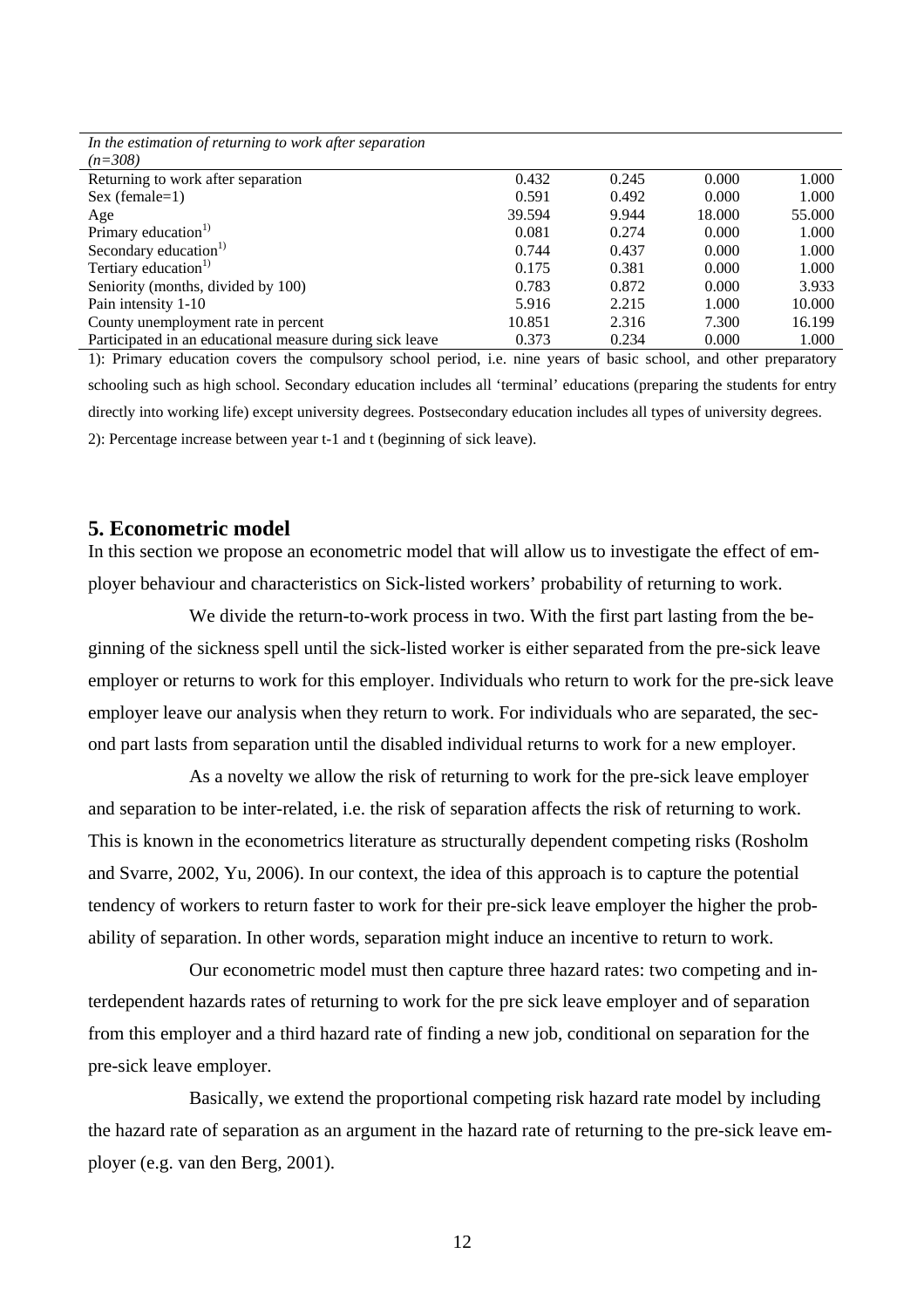| In the estimation of returning to work after separation  |        |       |        |        |
|----------------------------------------------------------|--------|-------|--------|--------|
| $(n=308)$                                                |        |       |        |        |
| Returning to work after separation                       | 0.432  | 0.245 | 0.000  | 1.000  |
| $Sex (female=1)$                                         | 0.591  | 0.492 | 0.000  | 1.000  |
| Age                                                      | 39.594 | 9.944 | 18.000 | 55.000 |
| Primary education <sup>1)</sup>                          | 0.081  | 0.274 | 0.000  | 1.000  |
| Secondary education <sup>1)</sup>                        | 0.744  | 0.437 | 0.000  | 1.000  |
| Tertiary education <sup>1)</sup>                         | 0.175  | 0.381 | 0.000  | 1.000  |
| Seniority (months, divided by 100)                       | 0.783  | 0.872 | 0.000  | 3.933  |
| Pain intensity 1-10                                      | 5.916  | 2.215 | 1.000  | 10.000 |
| County unemployment rate in percent                      | 10.851 | 2.316 | 7.300  | 16.199 |
| Participated in an educational measure during sick leave | 0.373  | 0.234 | 0.000  | 1.000  |

1): Primary education covers the compulsory school period, i.e. nine years of basic school, and other preparatory schooling such as high school. Secondary education includes all 'terminal' educations (preparing the students for entry directly into working life) except university degrees. Postsecondary education includes all types of university degrees. 2): Percentage increase between year t-1 and t (beginning of sick leave).

## **5. Econometric model**

In this section we propose an econometric model that will allow us to investigate the effect of employer behaviour and characteristics on Sick-listed workers' probability of returning to work.

We divide the return-to-work process in two. With the first part lasting from the beginning of the sickness spell until the sick-listed worker is either separated from the pre-sick leave employer or returns to work for this employer. Individuals who return to work for the pre-sick leave employer leave our analysis when they return to work. For individuals who are separated, the second part lasts from separation until the disabled individual returns to work for a new employer.

As a novelty we allow the risk of returning to work for the pre-sick leave employer and separation to be inter-related, i.e. the risk of separation affects the risk of returning to work. This is known in the econometrics literature as structurally dependent competing risks (Rosholm and Svarre, 2002, Yu, 2006). In our context, the idea of this approach is to capture the potential tendency of workers to return faster to work for their pre-sick leave employer the higher the probability of separation. In other words, separation might induce an incentive to return to work.

Our econometric model must then capture three hazard rates: two competing and interdependent hazards rates of returning to work for the pre sick leave employer and of separation from this employer and a third hazard rate of finding a new job, conditional on separation for the pre-sick leave employer.

Basically, we extend the proportional competing risk hazard rate model by including the hazard rate of separation as an argument in the hazard rate of returning to the pre-sick leave employer (e.g. van den Berg, 2001).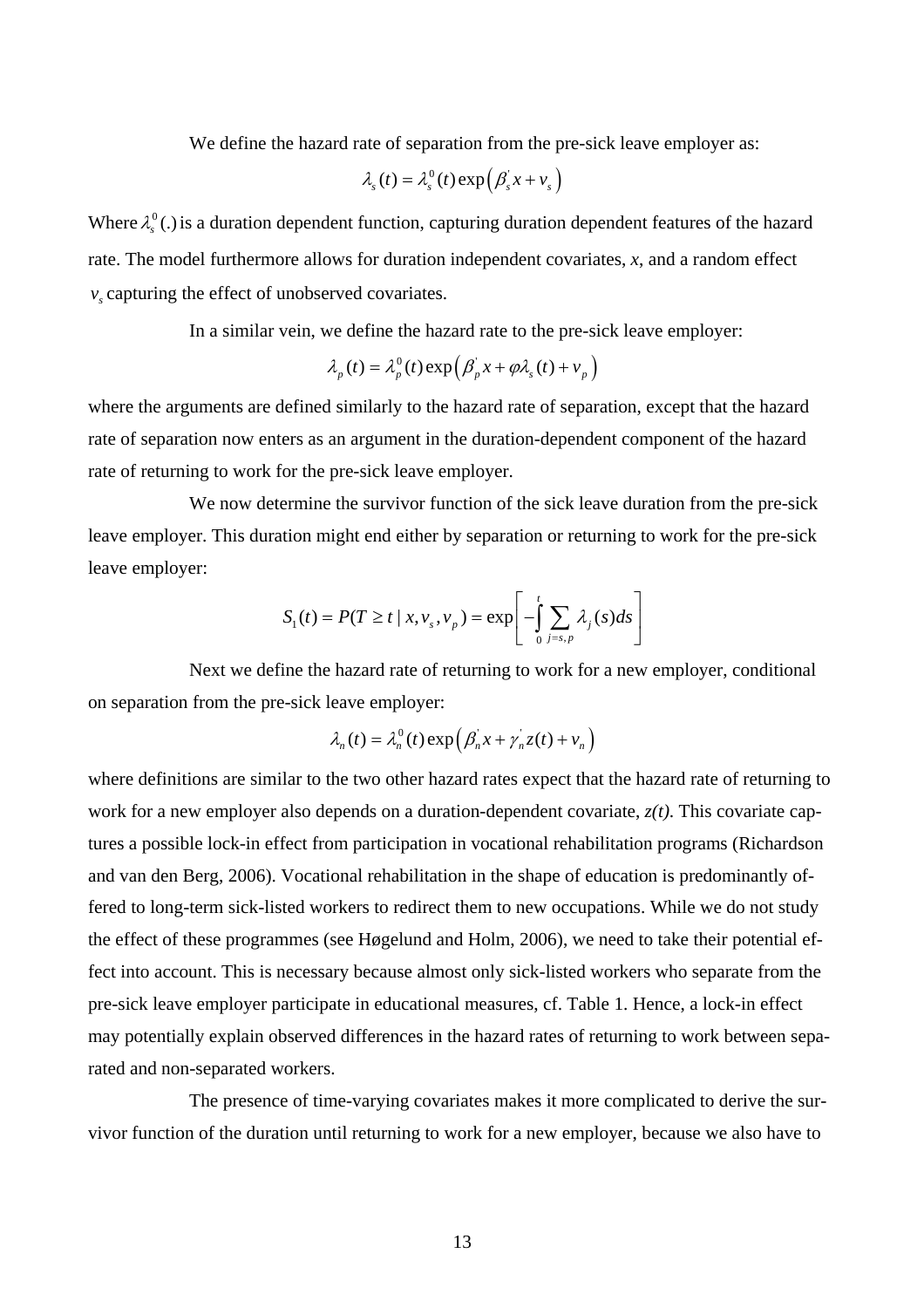We define the hazard rate of separation from the pre-sick leave employer as:

$$
\lambda_{s}(t) = \lambda_{s}^{0}(t) \exp\left(\beta_{s}^{'} x + v_{s}\right)
$$

Where  $\lambda_s^0$  (.) is a duration dependent function, capturing duration dependent features of the hazard rate. The model furthermore allows for duration independent covariates, *x*, and a random effect  $v<sub>s</sub>$  capturing the effect of unobserved covariates.

In a similar vein, we define the hazard rate to the pre-sick leave employer:

$$
\lambda_p(t) = \lambda_p^0(t) \exp\left(\beta_p^{\dagger} x + \varphi \lambda_s(t) + v_p\right)
$$

where the arguments are defined similarly to the hazard rate of separation, except that the hazard rate of separation now enters as an argument in the duration-dependent component of the hazard rate of returning to work for the pre-sick leave employer.

We now determine the survivor function of the sick leave duration from the pre-sick leave employer. This duration might end either by separation or returning to work for the pre-sick leave employer:

$$
S_1(t) = P(T \ge t \mid x, v_s, v_p) = \exp\left[-\int_0^t \sum_{j=s, p} \lambda_j(s)ds\right]
$$

Next we define the hazard rate of returning to work for a new employer, conditional on separation from the pre-sick leave employer:

$$
\lambda_n(t) = \lambda_n^0(t) \exp\left(\beta_n^{\dagger} x + \gamma_n^{\dagger} z(t) + v_n\right)
$$

where definitions are similar to the two other hazard rates expect that the hazard rate of returning to work for a new employer also depends on a duration-dependent covariate, *z(t)*. This covariate captures a possible lock-in effect from participation in vocational rehabilitation programs (Richardson and van den Berg, 2006). Vocational rehabilitation in the shape of education is predominantly offered to long-term sick-listed workers to redirect them to new occupations. While we do not study the effect of these programmes (see Høgelund and Holm, 2006), we need to take their potential effect into account. This is necessary because almost only sick-listed workers who separate from the pre-sick leave employer participate in educational measures, cf. Table 1. Hence, a lock-in effect may potentially explain observed differences in the hazard rates of returning to work between separated and non-separated workers.

The presence of time-varying covariates makes it more complicated to derive the survivor function of the duration until returning to work for a new employer, because we also have to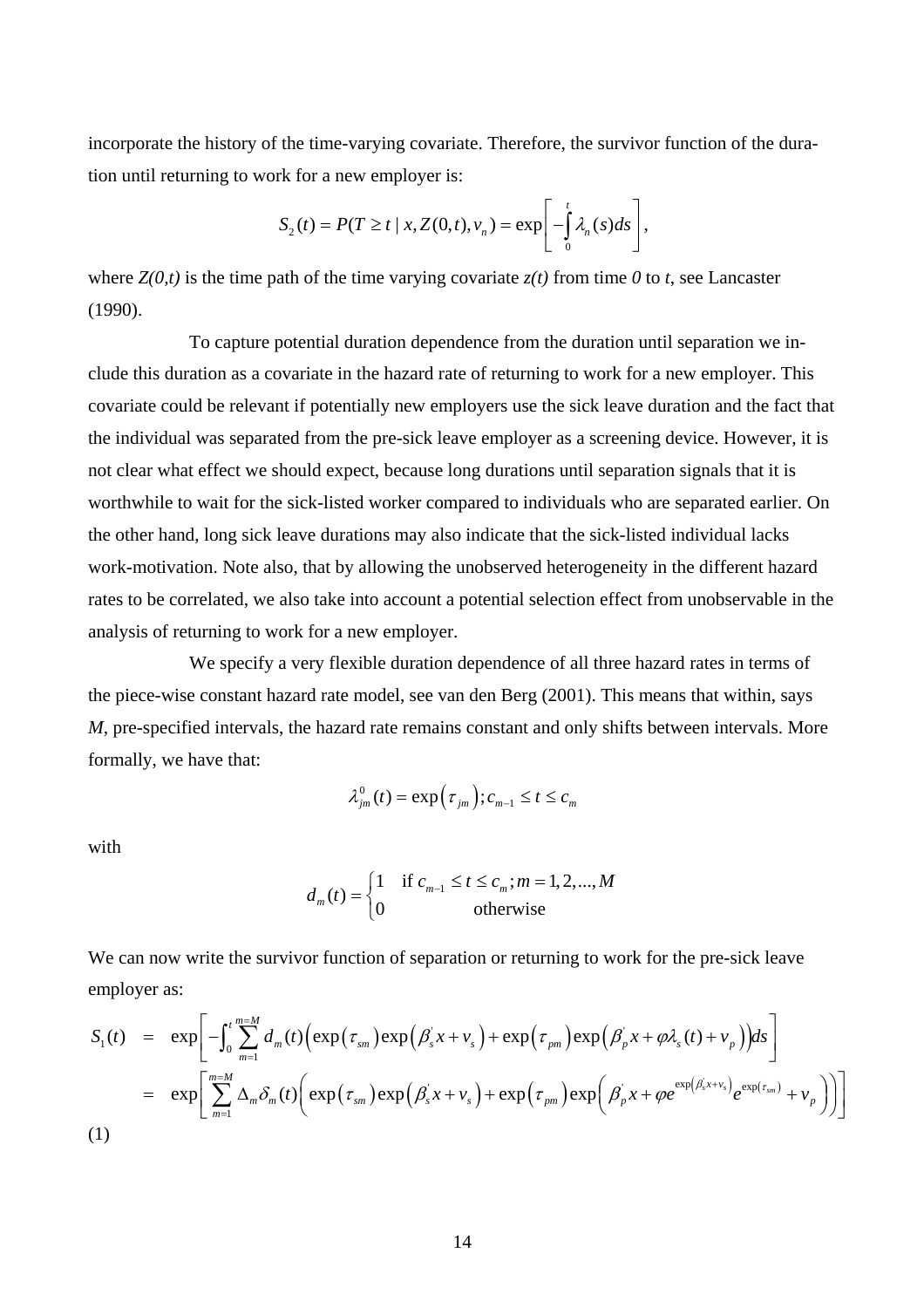incorporate the history of the time-varying covariate. Therefore, the survivor function of the duration until returning to work for a new employer is:

$$
S_2(t) = P(T \ge t \mid x, Z(0,t), v_n) = \exp \left[ -\int_0^t \lambda_n(s) ds \right],
$$

where  $Z(0,t)$  is the time path of the time varying covariate  $z(t)$  from time 0 to *t*, see Lancaster (1990).

To capture potential duration dependence from the duration until separation we include this duration as a covariate in the hazard rate of returning to work for a new employer. This covariate could be relevant if potentially new employers use the sick leave duration and the fact that the individual was separated from the pre-sick leave employer as a screening device. However, it is not clear what effect we should expect, because long durations until separation signals that it is worthwhile to wait for the sick-listed worker compared to individuals who are separated earlier. On the other hand, long sick leave durations may also indicate that the sick-listed individual lacks work-motivation. Note also, that by allowing the unobserved heterogeneity in the different hazard rates to be correlated, we also take into account a potential selection effect from unobservable in the analysis of returning to work for a new employer.

We specify a very flexible duration dependence of all three hazard rates in terms of the piece-wise constant hazard rate model, see van den Berg (2001). This means that within, says *M*, pre-specified intervals, the hazard rate remains constant and only shifts between intervals. More formally, we have that:

$$
\lambda_{jm}^{0}(t) = \exp(\tau_{jm}); c_{m-1} \leq t \leq c_{m}
$$

with

$$
d_m(t) = \begin{cases} 1 & \text{if } c_{m-1} \le t \le c_m; m = 1, 2, \dots, M \\ 0 & \text{otherwise} \end{cases}
$$

We can now write the survivor function of separation or returning to work for the pre-sick leave employer as:

$$
S_1(t) = \exp\left[-\int_0^t \sum_{m=1}^{m=M} d_m(t) \Big(\exp\left(\tau_{sm}\right) \exp\left(\beta_s x + v_s\right) + \exp\left(\tau_{pm}\right) \exp\left(\beta_p x + \varphi \lambda_s(t) + v_p\right) \Big) ds\right]
$$
  
\n
$$
= \exp\left[\sum_{m=1}^{m=M} \Delta_m \delta_m(t) \Big(\exp\left(\tau_{sm}\right) \exp\left(\beta_s x + v_s\right) + \exp\left(\tau_{pm}\right) \exp\left(\beta_p x + \varphi e^{\exp\left(\beta_s x + v_s\right)} e^{\exp\left(\tau_{sm}\right)} + v_p\right)\right)\right]
$$
  
\n(1)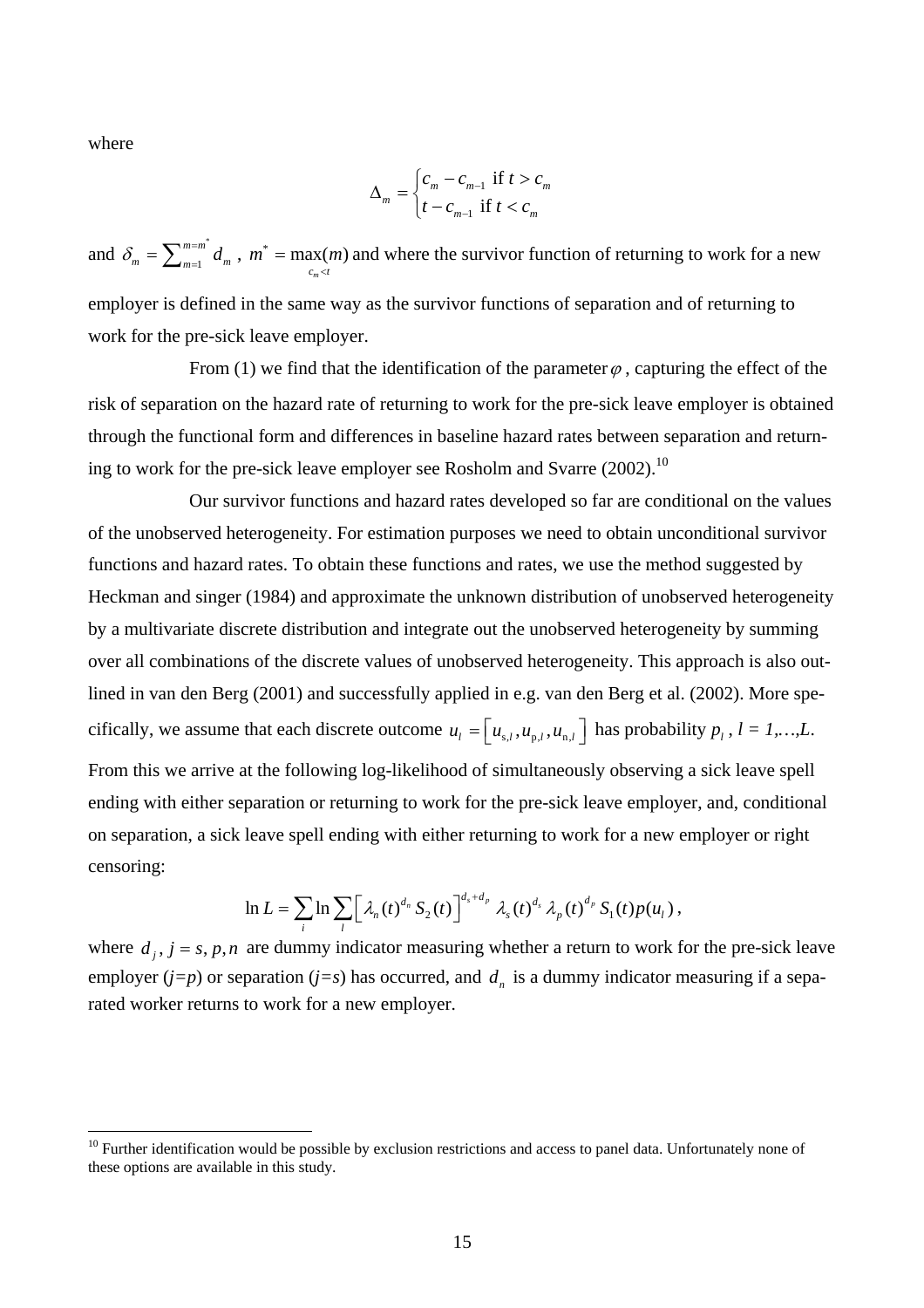where

 $\overline{a}$ 

$$
\Delta_m = \begin{cases} c_m - c_{m-1} & \text{if } t > c_m \\ t - c_{m-1} & \text{if } t < c_m \end{cases}
$$

and  $\delta_m = \sum_{m=1}^{m=m^*} d_m$ ,  $m^* = \max(m)$  and where the survivor function of returning to work for a new employer is defined in the same way as the survivor functions of separation and of returning to work for the pre-sick leave employer. 1  $\delta_m = \sum_{m=1}^{m=m^*} d_m$ ,  $m^* = \max_{c_m < t} (m)$  $\overline{\phantom{a}}$  $= max(m$ 

From (1) we find that the identification of the parameter  $\varphi$ , capturing the effect of the risk of separation on the hazard rate of returning to work for the pre-sick leave employer is obtained through the functional form and differences in baseline hazard rates between separation and returning to work for the pre-sick leave employer see Rosholm and Svarre  $(2002)$ <sup>10</sup>

Our survivor functions and hazard rates developed so far are conditional on the values of the unobserved heterogeneity. For estimation purposes we need to obtain unconditional survivor functions and hazard rates. To obtain these functions and rates, we use the method suggested by Heckman and singer (1984) and approximate the unknown distribution of unobserved heterogeneity by a multivariate discrete distribution and integrate out the unobserved heterogeneity by summing over all combinations of the discrete values of unobserved heterogeneity. This approach is also outlined in van den Berg (2001) and successfully applied in e.g. van den Berg et al. (2002). More specifically, we assume that each discrete outcome  $u_l = [u_{s,l}, u_{p,l}, u_{n,l}]$  has probability  $p_l$ ,  $l = 1,...,L$ . From this we arrive at the following log-likelihood of simultaneously observing a sick leave spell ending with either separation or returning to work for the pre-sick leave employer, and, conditional on separation, a sick leave spell ending with either returning to work for a new employer or right censoring:

$$
\ln L = \sum_{i} \ln \sum_{l} \left[ \lambda_n(t)^{d_n} S_2(t) \right]^{d_s + d_p} \lambda_s(t)^{d_s} \lambda_p(t)^{d_p} S_1(t) p(u_l) ,
$$

where  $d_j$ ,  $j = s$ ,  $p$ ,  $n$  are dummy indicator measuring whether a return to work for the pre-sick leave employer  $(j=p)$  or separation  $(j=s)$  has occurred, and  $d<sub>n</sub>$  is a dummy indicator measuring if a separated worker returns to work for a new employer.

 $10$  Further identification would be possible by exclusion restrictions and access to panel data. Unfortunately none of these options are available in this study.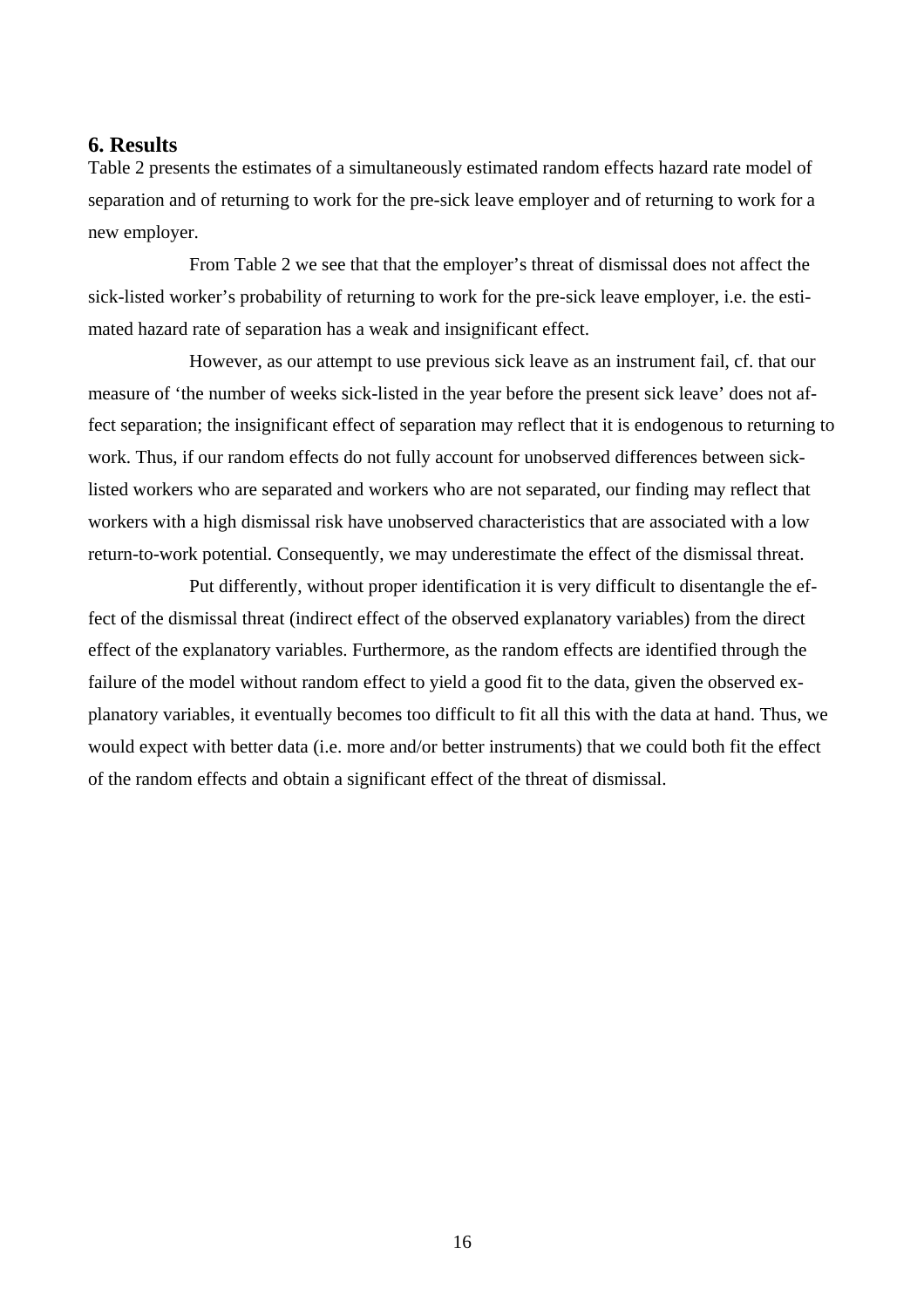## **6. Results**

Table 2 presents the estimates of a simultaneously estimated random effects hazard rate model of separation and of returning to work for the pre-sick leave employer and of returning to work for a new employer.

From Table 2 we see that that the employer's threat of dismissal does not affect the sick-listed worker's probability of returning to work for the pre-sick leave employer, i.e. the estimated hazard rate of separation has a weak and insignificant effect.

However, as our attempt to use previous sick leave as an instrument fail, cf. that our measure of 'the number of weeks sick-listed in the year before the present sick leave' does not affect separation; the insignificant effect of separation may reflect that it is endogenous to returning to work. Thus, if our random effects do not fully account for unobserved differences between sicklisted workers who are separated and workers who are not separated, our finding may reflect that workers with a high dismissal risk have unobserved characteristics that are associated with a low return-to-work potential. Consequently, we may underestimate the effect of the dismissal threat.

Put differently, without proper identification it is very difficult to disentangle the effect of the dismissal threat (indirect effect of the observed explanatory variables) from the direct effect of the explanatory variables. Furthermore, as the random effects are identified through the failure of the model without random effect to yield a good fit to the data, given the observed explanatory variables, it eventually becomes too difficult to fit all this with the data at hand. Thus, we would expect with better data (i.e. more and/or better instruments) that we could both fit the effect of the random effects and obtain a significant effect of the threat of dismissal.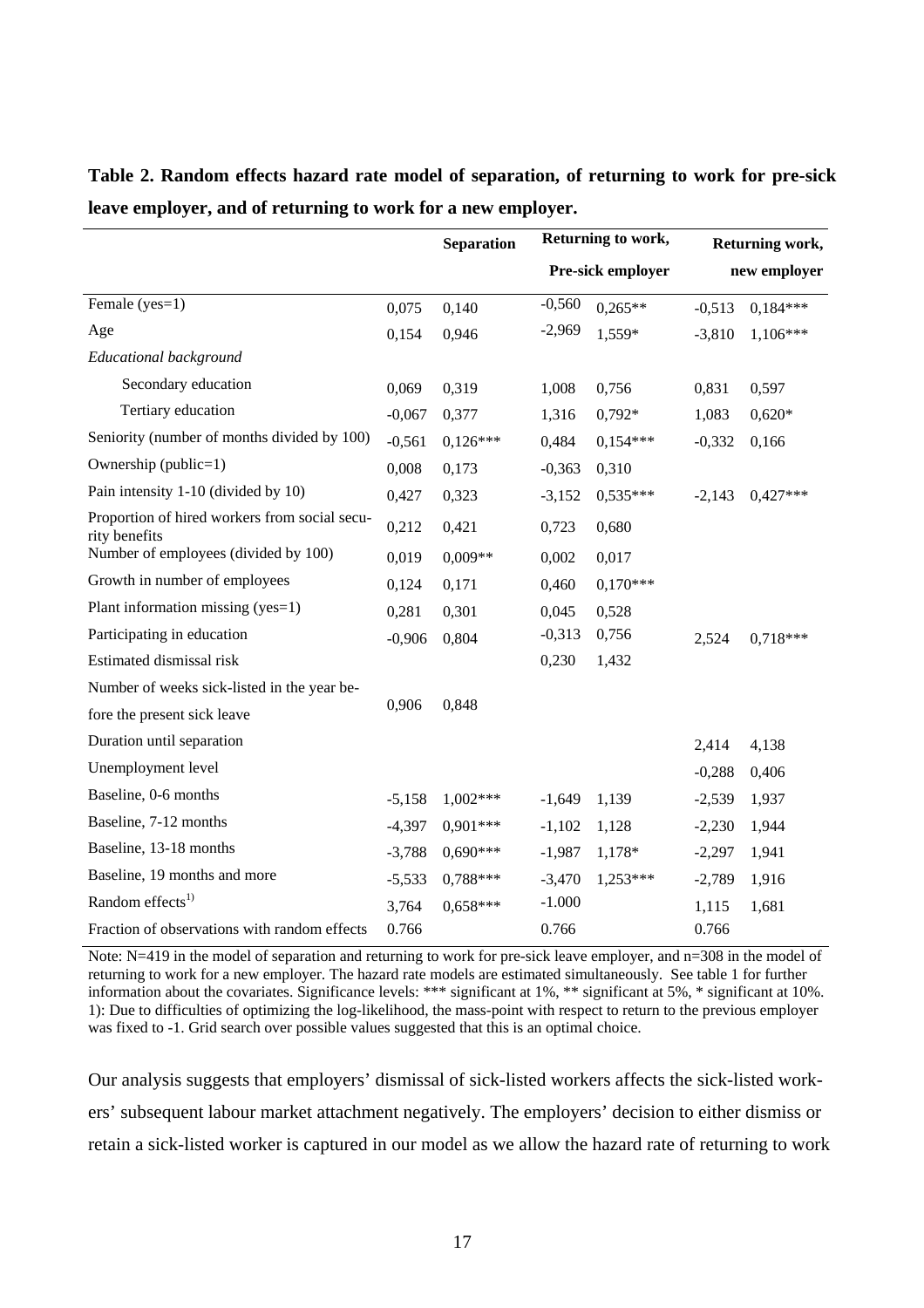|                                                                | <b>Separation</b> |            | Returning to work,<br>Pre-sick employer |            | Returning work,<br>new employer |            |
|----------------------------------------------------------------|-------------------|------------|-----------------------------------------|------------|---------------------------------|------------|
|                                                                |                   |            |                                         |            |                                 |            |
| Female (yes=1)                                                 | 0,075             | 0,140      | $-0,560$                                | $0,265**$  | $-0,513$                        | $0.184***$ |
| Age                                                            | 0,154             | 0,946      | $-2,969$                                | 1,559*     | $-3,810$                        | $1,106***$ |
| <b>Educational background</b>                                  |                   |            |                                         |            |                                 |            |
| Secondary education                                            | 0,069             | 0,319      | 1,008                                   | 0,756      | 0,831                           | 0,597      |
| Tertiary education                                             | $-0,067$          | 0,377      | 1,316                                   | $0,792*$   | 1,083                           | $0,620*$   |
| Seniority (number of months divided by 100)                    | $-0,561$          | $0,126***$ | 0,484                                   | $0,154***$ | $-0,332$                        | 0,166      |
| Ownership (public=1)                                           | 0,008             | 0,173      | $-0,363$                                | 0,310      |                                 |            |
| Pain intensity 1-10 (divided by 10)                            | 0,427             | 0,323      | $-3,152$                                | $0,535***$ | $-2,143$                        | $0,427***$ |
| Proportion of hired workers from social secu-<br>rity benefits | 0,212             | 0,421      | 0,723                                   | 0,680      |                                 |            |
| Number of employees (divided by 100)                           | 0,019             | $0,009**$  | 0,002                                   | 0,017      |                                 |            |
| Growth in number of employees                                  | 0,124             | 0,171      | 0,460                                   | $0,170***$ |                                 |            |
| Plant information missing (yes=1)                              | 0,281             | 0,301      | 0,045                                   | 0,528      |                                 |            |
| Participating in education                                     | $-0,906$          | 0,804      | $-0,313$                                | 0,756      | 2,524                           | $0,718***$ |
| Estimated dismissal risk                                       |                   |            | 0,230                                   | 1,432      |                                 |            |
| Number of weeks sick-listed in the year be-                    |                   |            |                                         |            |                                 |            |
| fore the present sick leave                                    | 0,906             | 0,848      |                                         |            |                                 |            |
| Duration until separation                                      |                   |            |                                         |            | 2,414                           | 4,138      |
| Unemployment level                                             |                   |            |                                         |            | $-0,288$                        | 0,406      |
| Baseline, 0-6 months                                           | $-5,158$          | $1,002***$ | $-1,649$                                | 1,139      | $-2,539$                        | 1,937      |
| Baseline, 7-12 months                                          | $-4,397$          | $0,901***$ | $-1,102$                                | 1,128      | $-2,230$                        | 1,944      |
| Baseline, 13-18 months                                         | $-3,788$          | $0.690***$ | $-1,987$                                | 1,178*     | $-2,297$                        | 1,941      |
| Baseline, 19 months and more                                   | $-5,533$          | $0.788***$ | $-3,470$                                | $1,253***$ | $-2,789$                        | 1,916      |
| Random effects <sup>1)</sup>                                   | 3,764             | $0.658***$ | $-1.000$                                |            | 1,115                           | 1,681      |
| Fraction of observations with random effects                   | 0.766             |            | 0.766                                   |            | 0.766                           |            |

**Table 2. Random effects hazard rate model of separation, of returning to work for pre-sick leave employer, and of returning to work for a new employer.**

Note: N=419 in the model of separation and returning to work for pre-sick leave employer, and n=308 in the model of returning to work for a new employer. The hazard rate models are estimated simultaneously. See table 1 for further information about the covariates. Significance levels: \*\*\* significant at 1%, \*\* significant at 5%, \* significant at 10%. 1): Due to difficulties of optimizing the log-likelihood, the mass-point with respect to return to the previous employer was fixed to -1. Grid search over possible values suggested that this is an optimal choice.

Our analysis suggests that employers' dismissal of sick-listed workers affects the sick-listed workers' subsequent labour market attachment negatively. The employers' decision to either dismiss or retain a sick-listed worker is captured in our model as we allow the hazard rate of returning to work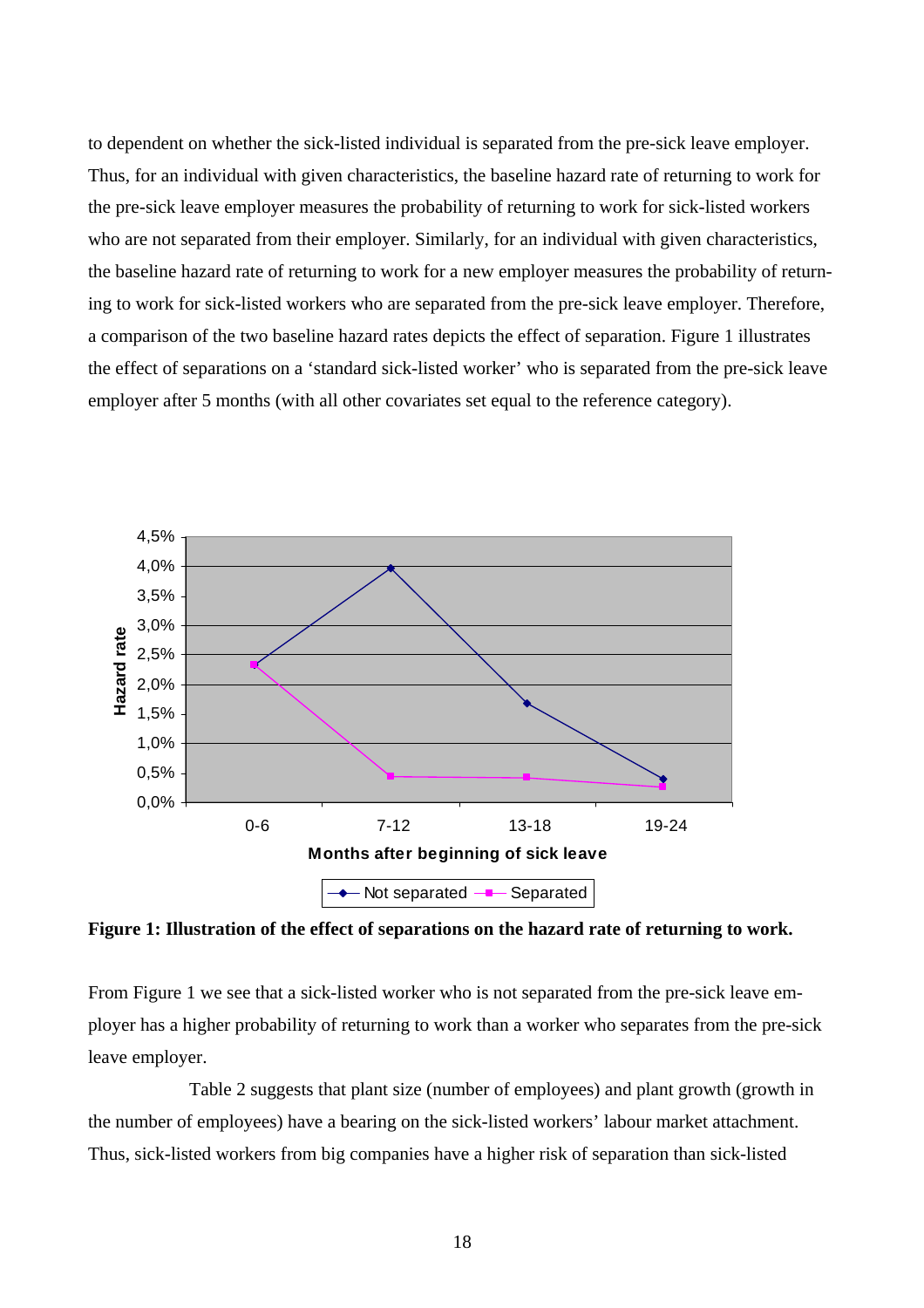to dependent on whether the sick-listed individual is separated from the pre-sick leave employer. Thus, for an individual with given characteristics, the baseline hazard rate of returning to work for the pre-sick leave employer measures the probability of returning to work for sick-listed workers who are not separated from their employer. Similarly, for an individual with given characteristics, the baseline hazard rate of returning to work for a new employer measures the probability of returning to work for sick-listed workers who are separated from the pre-sick leave employer. Therefore, a comparison of the two baseline hazard rates depicts the effect of separation. Figure 1 illustrates the effect of separations on a 'standard sick-listed worker' who is separated from the pre-sick leave employer after 5 months (with all other covariates set equal to the reference category).



**Figure 1: Illustration of the effect of separations on the hazard rate of returning to work.** 

From Figure 1 we see that a sick-listed worker who is not separated from the pre-sick leave employer has a higher probability of returning to work than a worker who separates from the pre-sick leave employer.

Table 2 suggests that plant size (number of employees) and plant growth (growth in the number of employees) have a bearing on the sick-listed workers' labour market attachment. Thus, sick-listed workers from big companies have a higher risk of separation than sick-listed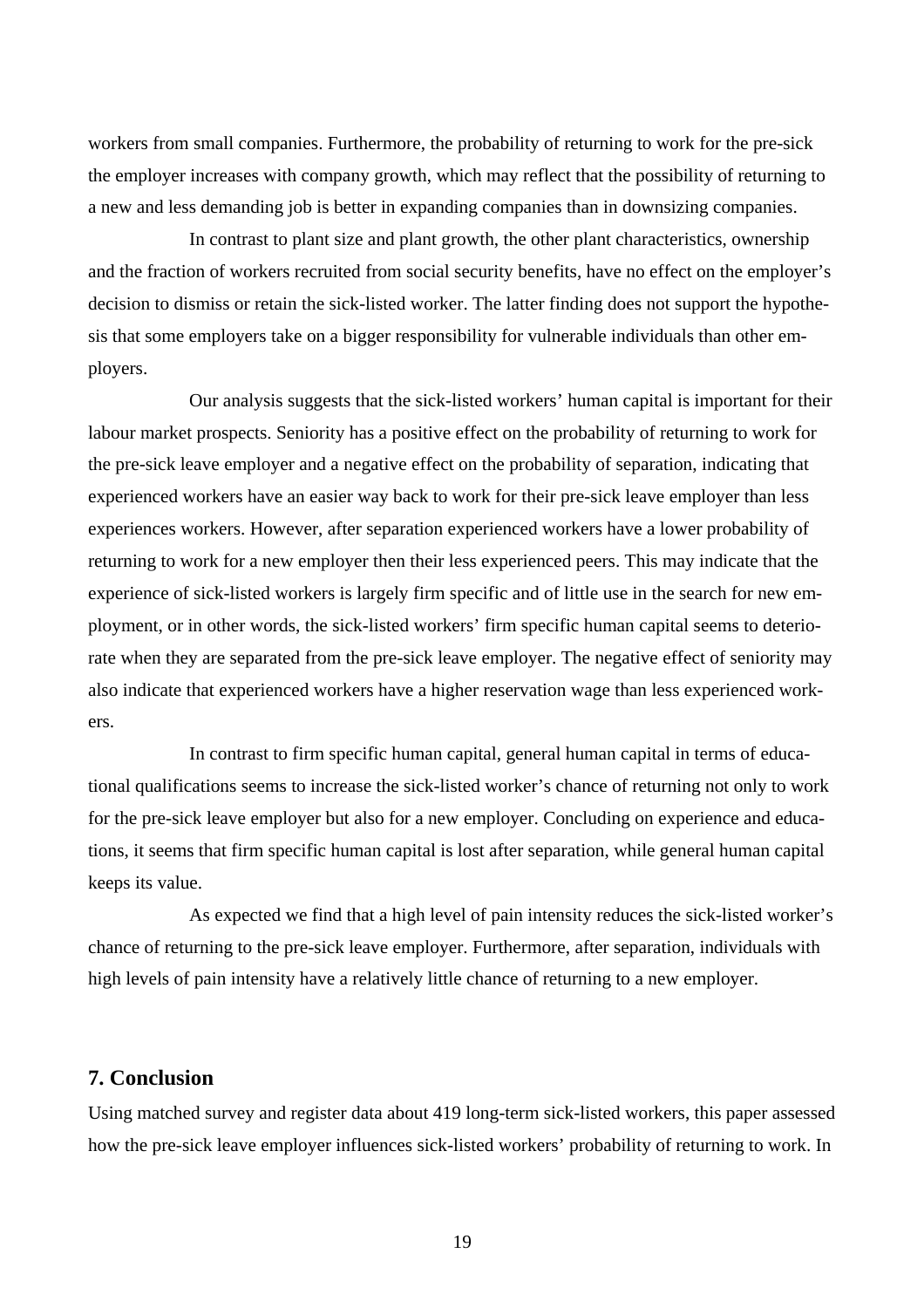workers from small companies. Furthermore, the probability of returning to work for the pre-sick the employer increases with company growth, which may reflect that the possibility of returning to a new and less demanding job is better in expanding companies than in downsizing companies.

In contrast to plant size and plant growth, the other plant characteristics, ownership and the fraction of workers recruited from social security benefits, have no effect on the employer's decision to dismiss or retain the sick-listed worker. The latter finding does not support the hypothesis that some employers take on a bigger responsibility for vulnerable individuals than other employers.

Our analysis suggests that the sick-listed workers' human capital is important for their labour market prospects. Seniority has a positive effect on the probability of returning to work for the pre-sick leave employer and a negative effect on the probability of separation, indicating that experienced workers have an easier way back to work for their pre-sick leave employer than less experiences workers. However, after separation experienced workers have a lower probability of returning to work for a new employer then their less experienced peers. This may indicate that the experience of sick-listed workers is largely firm specific and of little use in the search for new employment, or in other words, the sick-listed workers' firm specific human capital seems to deteriorate when they are separated from the pre-sick leave employer. The negative effect of seniority may also indicate that experienced workers have a higher reservation wage than less experienced workers.

In contrast to firm specific human capital, general human capital in terms of educational qualifications seems to increase the sick-listed worker's chance of returning not only to work for the pre-sick leave employer but also for a new employer. Concluding on experience and educations, it seems that firm specific human capital is lost after separation, while general human capital keeps its value.

As expected we find that a high level of pain intensity reduces the sick-listed worker's chance of returning to the pre-sick leave employer. Furthermore, after separation, individuals with high levels of pain intensity have a relatively little chance of returning to a new employer.

#### **7. Conclusion**

Using matched survey and register data about 419 long-term sick-listed workers, this paper assessed how the pre-sick leave employer influences sick-listed workers' probability of returning to work. In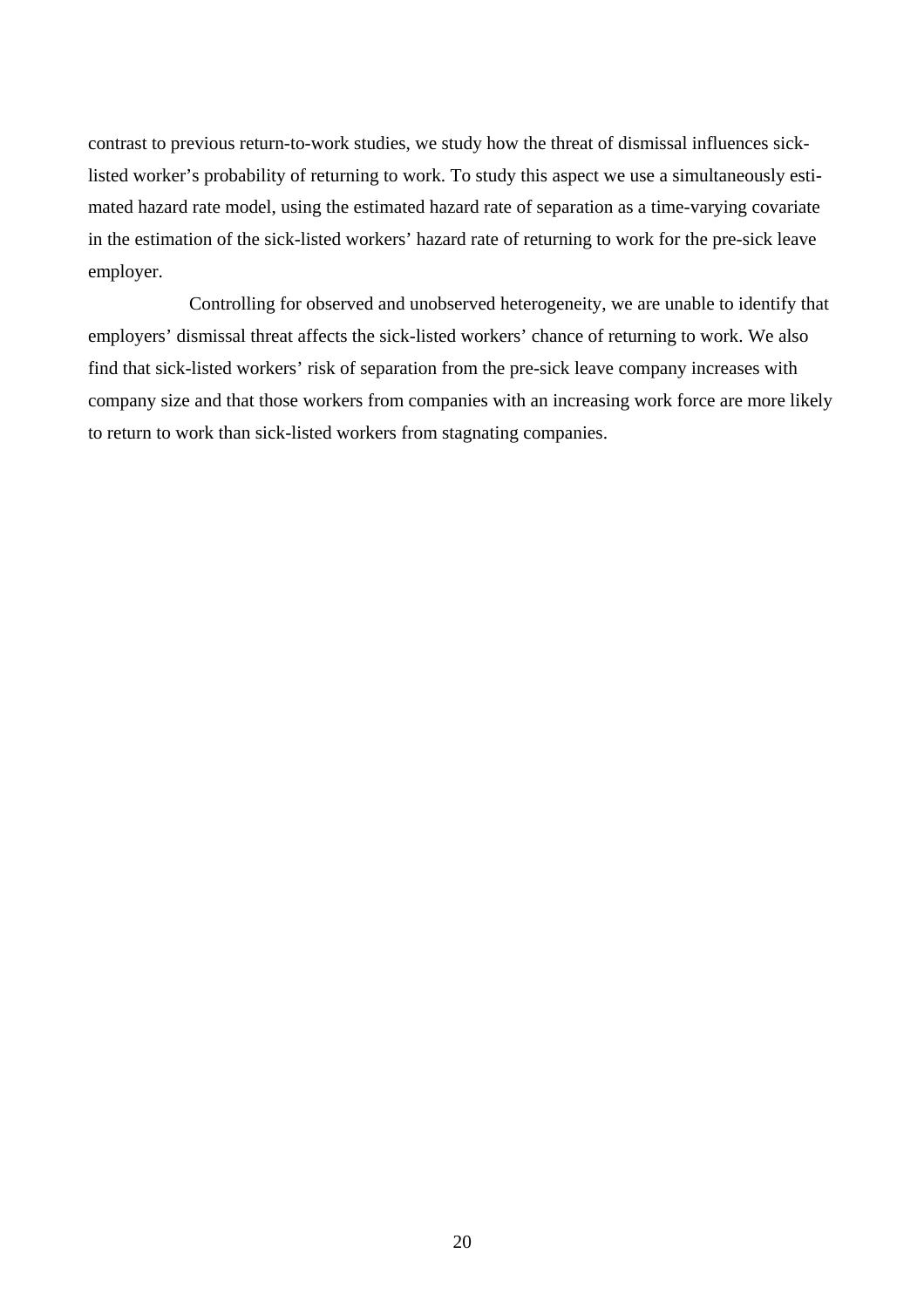contrast to previous return-to-work studies, we study how the threat of dismissal influences sicklisted worker's probability of returning to work. To study this aspect we use a simultaneously estimated hazard rate model, using the estimated hazard rate of separation as a time-varying covariate in the estimation of the sick-listed workers' hazard rate of returning to work for the pre-sick leave employer.

Controlling for observed and unobserved heterogeneity, we are unable to identify that employers' dismissal threat affects the sick-listed workers' chance of returning to work. We also find that sick-listed workers' risk of separation from the pre-sick leave company increases with company size and that those workers from companies with an increasing work force are more likely to return to work than sick-listed workers from stagnating companies.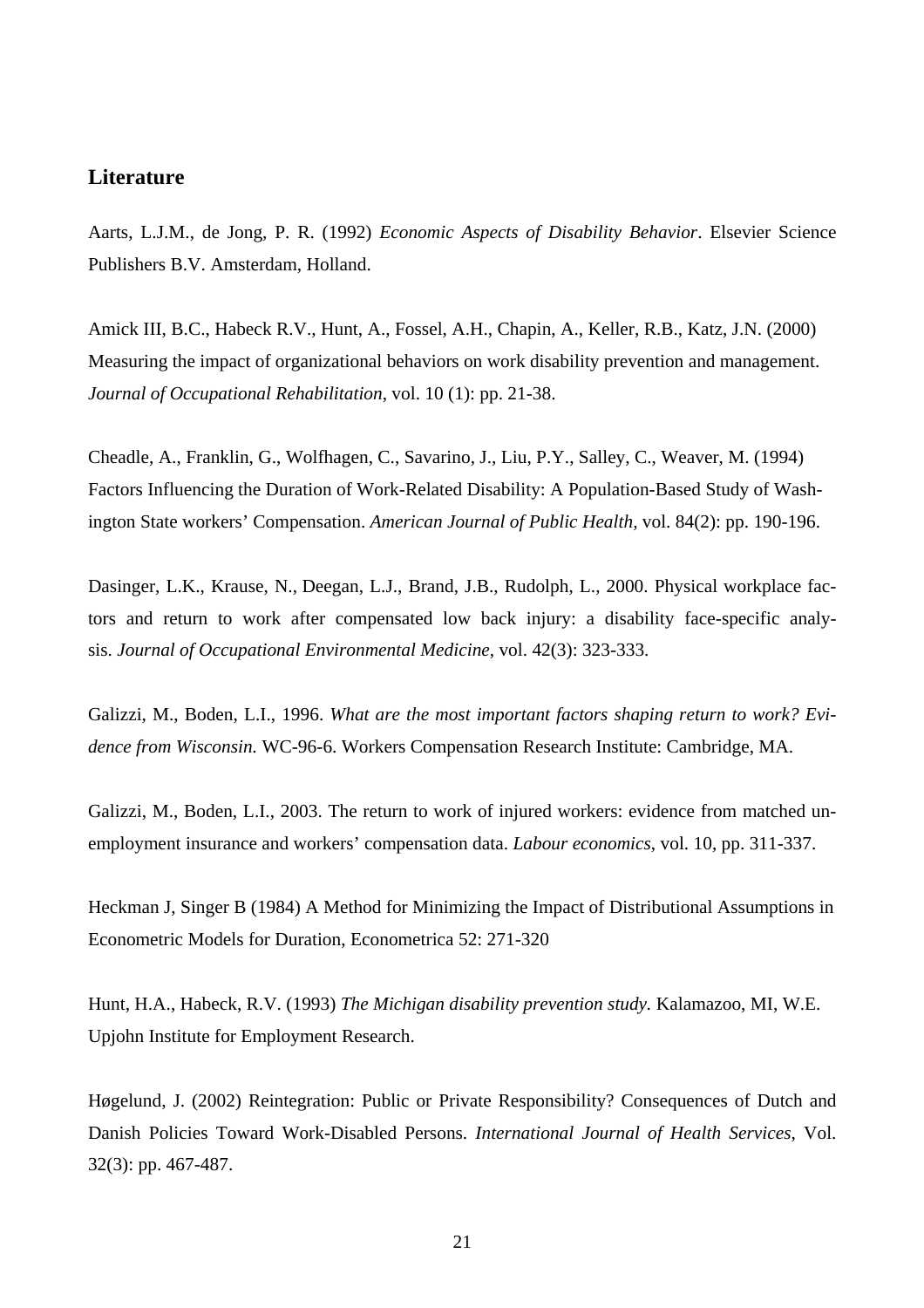#### **Literature**

Aarts, L.J.M., de Jong, P. R. (1992) *Economic Aspects of Disability Behavior*. Elsevier Science Publishers B.V. Amsterdam, Holland.

Amick III, B.C., Habeck R.V., Hunt, A., Fossel, A.H., Chapin, A., Keller, R.B., Katz, J.N. (2000) Measuring the impact of organizational behaviors on work disability prevention and management. *Journal of Occupational Rehabilitation*, vol. 10 (1): pp. 21-38.

Cheadle, A., Franklin, G., Wolfhagen, C., Savarino, J., Liu, P.Y., Salley, C., Weaver, M. (1994) Factors Influencing the Duration of Work-Related Disability: A Population-Based Study of Washington State workers' Compensation. *American Journal of Public Health,* vol. 84(2): pp. 190-196.

Dasinger, L.K., Krause, N., Deegan, L.J., Brand, J.B., Rudolph, L., 2000. Physical workplace factors and return to work after compensated low back injury: a disability face-specific analysis. *Journal of Occupational Environmental Medicine*, vol. 42(3): 323-333.

Galizzi, M., Boden, L.I., 1996. *What are the most important factors shaping return to work? Evidence from Wisconsin.* WC-96-6. Workers Compensation Research Institute: Cambridge, MA.

Galizzi, M., Boden, L.I., 2003. The return to work of injured workers: evidence from matched unemployment insurance and workers' compensation data. *Labour economics*, vol. 10, pp. 311-337.

Heckman J, Singer B (1984) A Method for Minimizing the Impact of Distributional Assumptions in Econometric Models for Duration, Econometrica 52: 271-320

Hunt, H.A., Habeck, R.V. (1993) *The Michigan disability prevention study.* Kalamazoo, MI, W.E. Upjohn Institute for Employment Research.

Høgelund, J. (2002) Reintegration: Public or Private Responsibility? Consequences of Dutch and Danish Policies Toward Work-Disabled Persons. *International Journal of Health Services*, Vol. 32(3): pp. 467-487.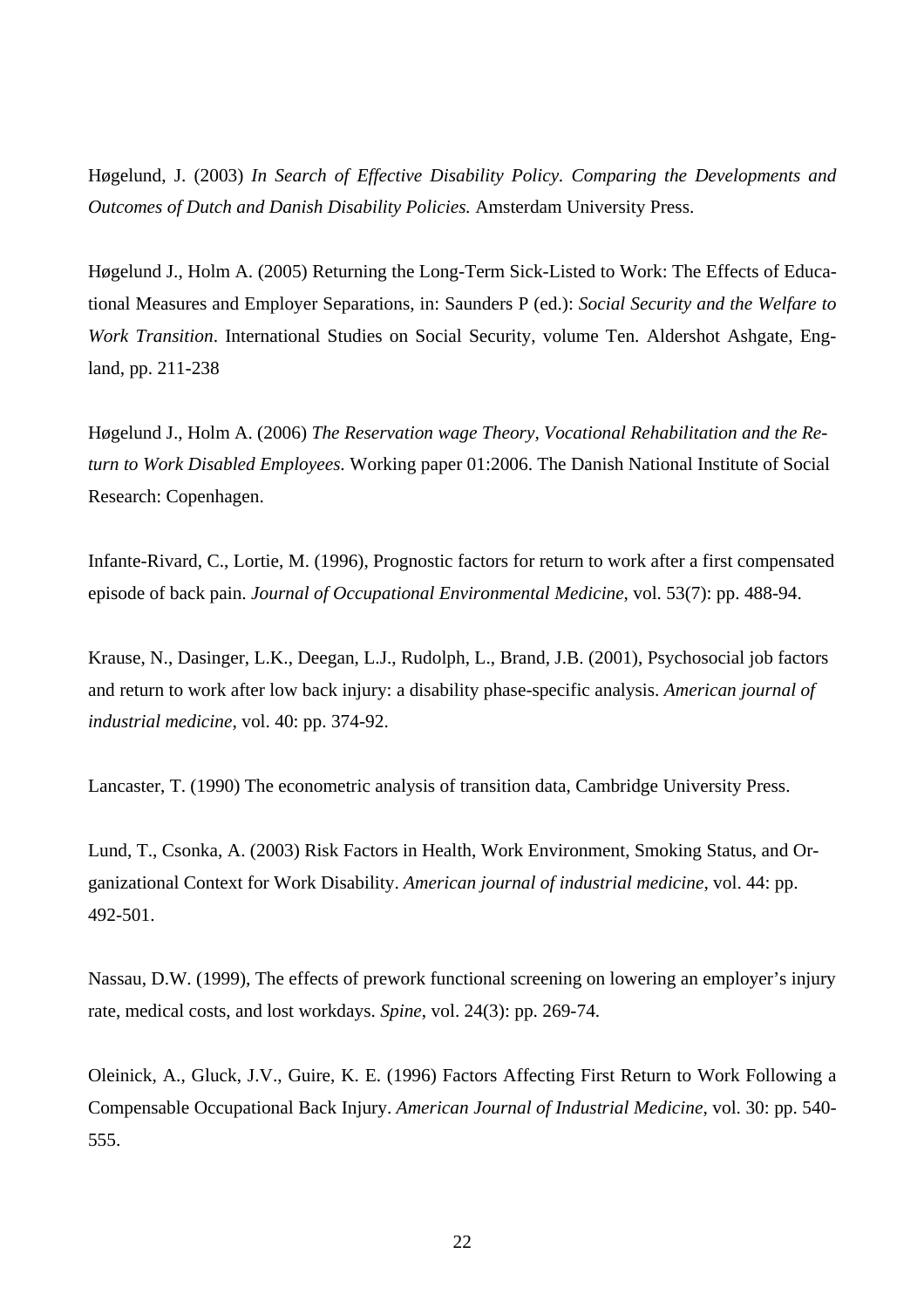Høgelund, J. (2003) *In Search of Effective Disability Policy. Comparing the Developments and Outcomes of Dutch and Danish Disability Policies.* Amsterdam University Press.

Høgelund J., Holm A. (2005) Returning the Long-Term Sick-Listed to Work: The Effects of Educational Measures and Employer Separations, in: Saunders P (ed.): *Social Security and the Welfare to Work Transition*. International Studies on Social Security, volume Ten. Aldershot Ashgate, England, pp. 211-238

Høgelund J., Holm A. (2006) *The Reservation wage Theory, Vocational Rehabilitation and the Return to Work Disabled Employees.* Working paper 01:2006. The Danish National Institute of Social Research: Copenhagen.

Infante-Rivard, C., Lortie, M. (1996), Prognostic factors for return to work after a first compensated episode of back pain. *Journal of Occupational Environmental Medicine*, vol. 53(7): pp. 488-94.

Krause, N., Dasinger, L.K., Deegan, L.J., Rudolph, L., Brand, J.B. (2001), Psychosocial job factors and return to work after low back injury: a disability phase-specific analysis. *American journal of industrial medicine*, vol. 40: pp. 374-92.

Lancaster, T. (1990) The econometric analysis of transition data, Cambridge University Press.

Lund, T., Csonka, A. (2003) Risk Factors in Health, Work Environment, Smoking Status, and Organizational Context for Work Disability. *American journal of industrial medicine*, vol. 44: pp. 492-501.

Nassau, D.W. (1999), The effects of prework functional screening on lowering an employer's injury rate, medical costs, and lost workdays. *Spine*, vol. 24(3): pp. 269-74.

Oleinick, A., Gluck, J.V., Guire, K. E. (1996) Factors Affecting First Return to Work Following a Compensable Occupational Back Injury. *American Journal of Industrial Medicine*, vol. 30: pp. 540- 555.

22